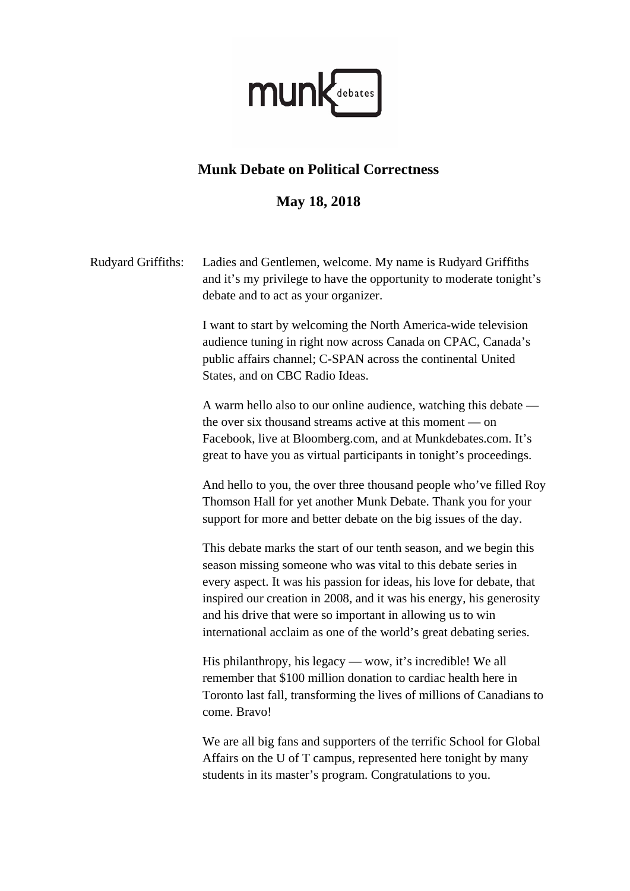

## **Munk Debate on Political Correctness**

## **May 18, 2018**

| Rudyard Griffiths: | Ladies and Gentlemen, welcome. My name is Rudyard Griffiths<br>and it's my privilege to have the opportunity to moderate tonight's<br>debate and to act as your organizer.                                                                                                                                                                                                                                               |
|--------------------|--------------------------------------------------------------------------------------------------------------------------------------------------------------------------------------------------------------------------------------------------------------------------------------------------------------------------------------------------------------------------------------------------------------------------|
|                    | I want to start by welcoming the North America-wide television<br>audience tuning in right now across Canada on CPAC, Canada's<br>public affairs channel; C-SPAN across the continental United<br>States, and on CBC Radio Ideas.                                                                                                                                                                                        |
|                    | A warm hello also to our online audience, watching this debate —<br>the over six thousand streams active at this moment $\sim$ on<br>Facebook, live at Bloomberg.com, and at Munkdebates.com. It's<br>great to have you as virtual participants in tonight's proceedings.                                                                                                                                                |
|                    | And hello to you, the over three thousand people who've filled Roy<br>Thomson Hall for yet another Munk Debate. Thank you for your<br>support for more and better debate on the big issues of the day.                                                                                                                                                                                                                   |
|                    | This debate marks the start of our tenth season, and we begin this<br>season missing someone who was vital to this debate series in<br>every aspect. It was his passion for ideas, his love for debate, that<br>inspired our creation in 2008, and it was his energy, his generosity<br>and his drive that were so important in allowing us to win<br>international acclaim as one of the world's great debating series. |
|                    | His philanthropy, his legacy — wow, it's incredible! We all<br>remember that \$100 million donation to cardiac health here in<br>Toronto last fall, transforming the lives of millions of Canadians to<br>come. Bravo!                                                                                                                                                                                                   |
|                    | We are all big fans and supporters of the terrific School for Global<br>Affairs on the U of T campus, represented here tonight by many<br>students in its master's program. Congratulations to you.                                                                                                                                                                                                                      |
|                    |                                                                                                                                                                                                                                                                                                                                                                                                                          |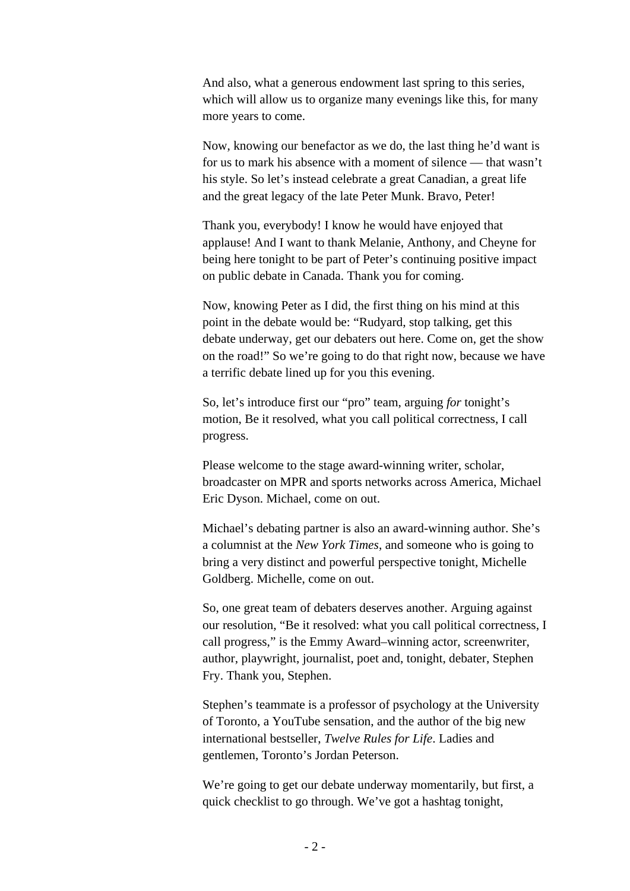And also, what a generous endowment last spring to this series, which will allow us to organize many evenings like this, for many more years to come.

Now, knowing our benefactor as we do, the last thing he'd want is for us to mark his absence with a moment of silence — that wasn't his style. So let's instead celebrate a great Canadian, a great life and the great legacy of the late Peter Munk. Bravo, Peter!

Thank you, everybody! I know he would have enjoyed that applause! And I want to thank Melanie, Anthony, and Cheyne for being here tonight to be part of Peter's continuing positive impact on public debate in Canada. Thank you for coming.

Now, knowing Peter as I did, the first thing on his mind at this point in the debate would be: "Rudyard, stop talking, get this debate underway, get our debaters out here. Come on, get the show on the road!" So we're going to do that right now, because we have a terrific debate lined up for you this evening.

So, let's introduce first our "pro" team, arguing *for* tonight's motion, Be it resolved, what you call political correctness, I call progress.

Please welcome to the stage award-winning writer, scholar, broadcaster on MPR and sports networks across America, Michael Eric Dyson. Michael, come on out.

Michael's debating partner is also an award-winning author. She's a columnist at the *New York Times*, and someone who is going to bring a very distinct and powerful perspective tonight, Michelle Goldberg. Michelle, come on out.

So, one great team of debaters deserves another. Arguing against our resolution, "Be it resolved: what you call political correctness, I call progress," is the Emmy Award–winning actor, screenwriter, author, playwright, journalist, poet and, tonight, debater, Stephen Fry. Thank you, Stephen.

Stephen's teammate is a professor of psychology at the University of Toronto, a YouTube sensation, and the author of the big new international bestseller, *Twelve Rules for Life*. Ladies and gentlemen, Toronto's Jordan Peterson.

We're going to get our debate underway momentarily, but first, a quick checklist to go through. We've got a hashtag tonight,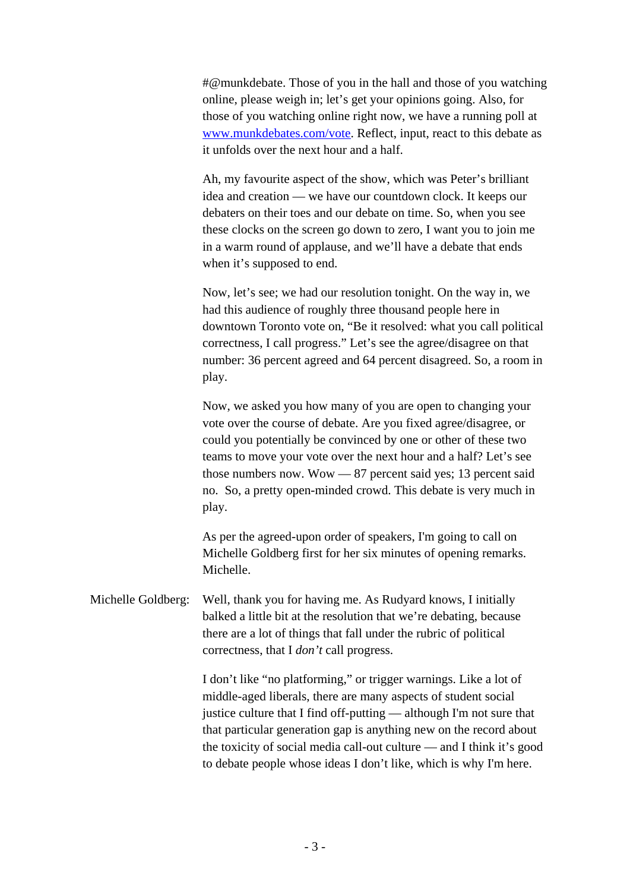#@munkdebate. Those of you in the hall and those of you watching online, please weigh in; let's get your opinions going. Also, for those of you watching online right now, we have a running poll at [www.munkdebates.com/vote.](http://www.munkdebates.com/vote) Reflect, input, react to this debate as it unfolds over the next hour and a half.

Ah, my favourite aspect of the show, which was Peter's brilliant idea and creation — we have our countdown clock. It keeps our debaters on their toes and our debate on time. So, when you see these clocks on the screen go down to zero, I want you to join me in a warm round of applause, and we'll have a debate that ends when it's supposed to end.

Now, let's see; we had our resolution tonight. On the way in, we had this audience of roughly three thousand people here in downtown Toronto vote on, "Be it resolved: what you call political correctness, I call progress." Let's see the agree/disagree on that number: 36 percent agreed and 64 percent disagreed. So, a room in play.

Now, we asked you how many of you are open to changing your vote over the course of debate. Are you fixed agree/disagree, or could you potentially be convinced by one or other of these two teams to move your vote over the next hour and a half? Let's see those numbers now. Wow — 87 percent said yes; 13 percent said no. So, a pretty open-minded crowd. This debate is very much in play.

As per the agreed-upon order of speakers, I'm going to call on Michelle Goldberg first for her six minutes of opening remarks. Michelle.

Michelle Goldberg: Well, thank you for having me. As Rudyard knows, I initially balked a little bit at the resolution that we're debating, because there are a lot of things that fall under the rubric of political correctness, that I *don't* call progress.

> I don't like "no platforming," or trigger warnings. Like a lot of middle-aged liberals, there are many aspects of student social justice culture that I find off-putting — although I'm not sure that that particular generation gap is anything new on the record about the toxicity of social media call-out culture — and I think it's good to debate people whose ideas I don't like, which is why I'm here.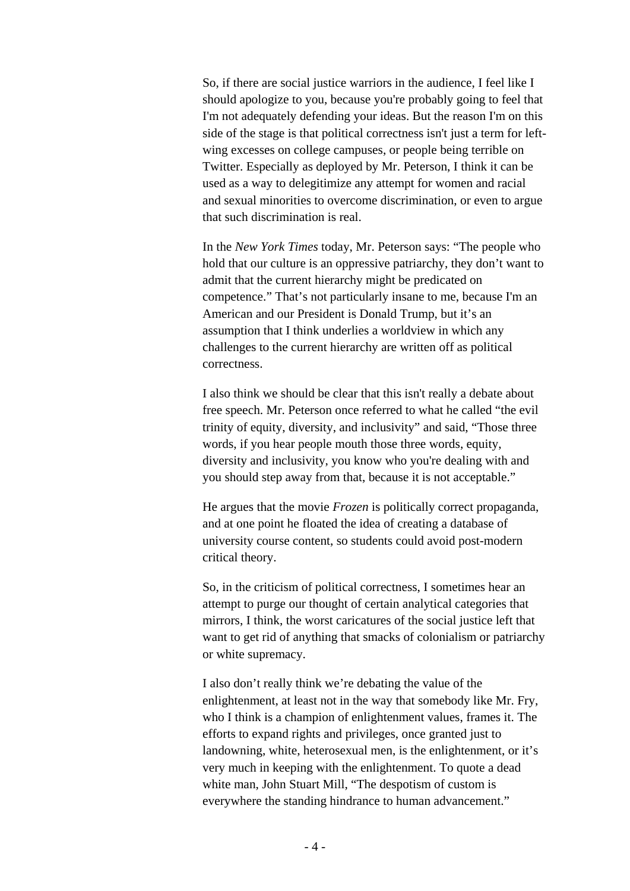So, if there are social justice warriors in the audience, I feel like I should apologize to you, because you're probably going to feel that I'm not adequately defending your ideas. But the reason I'm on this side of the stage is that political correctness isn't just a term for leftwing excesses on college campuses, or people being terrible on Twitter. Especially as deployed by Mr. Peterson, I think it can be used as a way to delegitimize any attempt for women and racial and sexual minorities to overcome discrimination, or even to argue that such discrimination is real.

In the *New York Times* today, Mr. Peterson says: "The people who hold that our culture is an oppressive patriarchy, they don't want to admit that the current hierarchy might be predicated on competence." That's not particularly insane to me, because I'm an American and our President is Donald Trump, but it's an assumption that I think underlies a worldview in which any challenges to the current hierarchy are written off as political correctness.

I also think we should be clear that this isn't really a debate about free speech. Mr. Peterson once referred to what he called "the evil trinity of equity, diversity, and inclusivity" and said, "Those three words, if you hear people mouth those three words, equity, diversity and inclusivity, you know who you're dealing with and you should step away from that, because it is not acceptable."

He argues that the movie *Frozen* is politically correct propaganda, and at one point he floated the idea of creating a database of university course content, so students could avoid post-modern critical theory.

So, in the criticism of political correctness, I sometimes hear an attempt to purge our thought of certain analytical categories that mirrors, I think, the worst caricatures of the social justice left that want to get rid of anything that smacks of colonialism or patriarchy or white supremacy.

I also don't really think we're debating the value of the enlightenment, at least not in the way that somebody like Mr. Fry, who I think is a champion of enlightenment values, frames it. The efforts to expand rights and privileges, once granted just to landowning, white, heterosexual men, is the enlightenment, or it's very much in keeping with the enlightenment. To quote a dead white man, John Stuart Mill, "The despotism of custom is everywhere the standing hindrance to human advancement."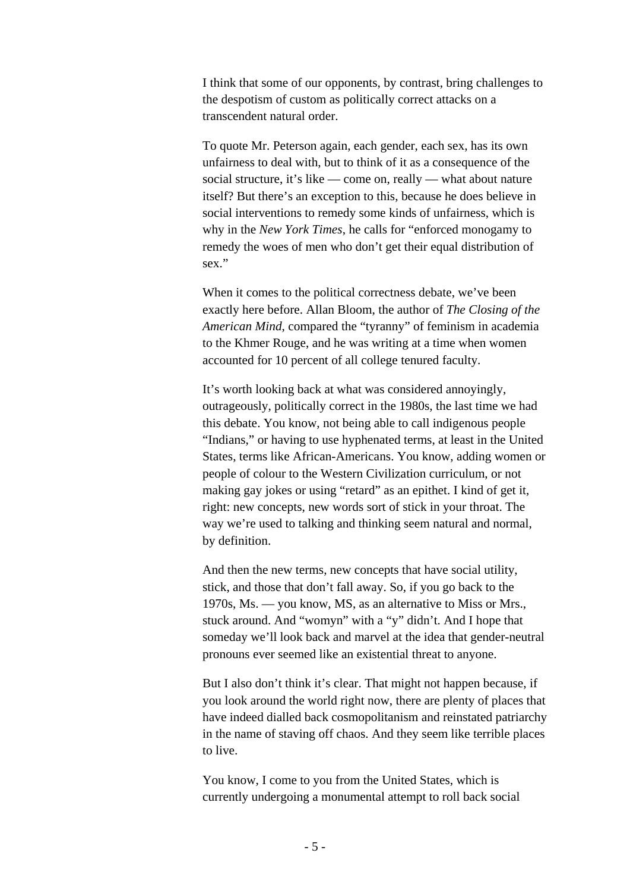I think that some of our opponents, by contrast, bring challenges to the despotism of custom as politically correct attacks on a transcendent natural order.

To quote Mr. Peterson again, each gender, each sex, has its own unfairness to deal with, but to think of it as a consequence of the social structure, it's like — come on, really — what about nature itself? But there's an exception to this, because he does believe in social interventions to remedy some kinds of unfairness, which is why in the *New York Times*, he calls for "enforced monogamy to remedy the woes of men who don't get their equal distribution of sex."

When it comes to the political correctness debate, we've been exactly here before. Allan Bloom, the author of *The Closing of the American Mind*, compared the "tyranny" of feminism in academia to the Khmer Rouge, and he was writing at a time when women accounted for 10 percent of all college tenured faculty.

It's worth looking back at what was considered annoyingly, outrageously, politically correct in the 1980s, the last time we had this debate. You know, not being able to call indigenous people "Indians," or having to use hyphenated terms, at least in the United States, terms like African-Americans. You know, adding women or people of colour to the Western Civilization curriculum, or not making gay jokes or using "retard" as an epithet. I kind of get it, right: new concepts, new words sort of stick in your throat. The way we're used to talking and thinking seem natural and normal, by definition.

And then the new terms, new concepts that have social utility, stick, and those that don't fall away. So, if you go back to the 1970s, Ms. — you know, MS, as an alternative to Miss or Mrs., stuck around. And "womyn" with a "y" didn't. And I hope that someday we'll look back and marvel at the idea that gender-neutral pronouns ever seemed like an existential threat to anyone.

But I also don't think it's clear. That might not happen because, if you look around the world right now, there are plenty of places that have indeed dialled back cosmopolitanism and reinstated patriarchy in the name of staving off chaos. And they seem like terrible places to live.

You know, I come to you from the United States, which is currently undergoing a monumental attempt to roll back social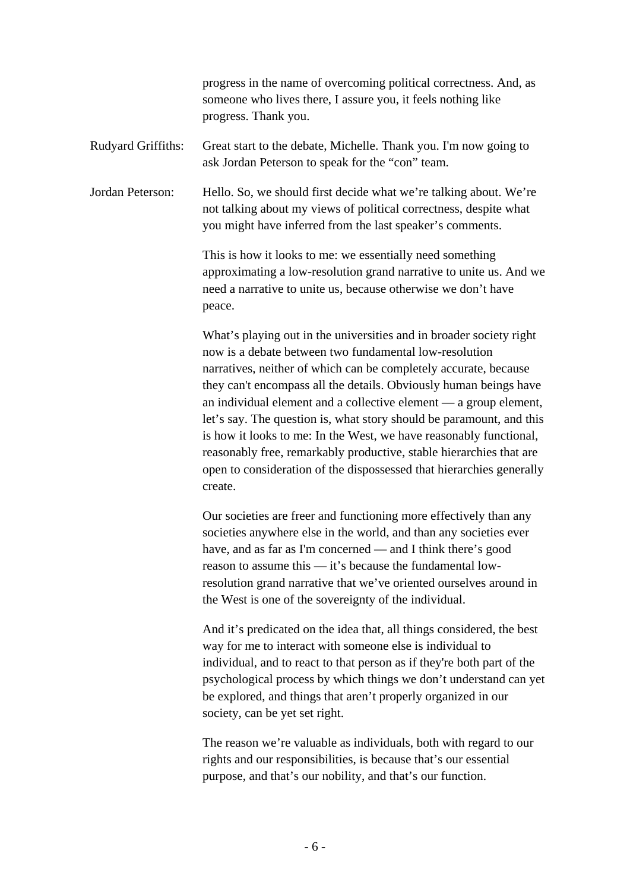|                    | progress in the name of overcoming political correctness. And, as<br>someone who lives there, I assure you, it feels nothing like<br>progress. Thank you.                                                                                                                                                                                                                                                                                                                                                                                                                                                                                             |
|--------------------|-------------------------------------------------------------------------------------------------------------------------------------------------------------------------------------------------------------------------------------------------------------------------------------------------------------------------------------------------------------------------------------------------------------------------------------------------------------------------------------------------------------------------------------------------------------------------------------------------------------------------------------------------------|
| Rudyard Griffiths: | Great start to the debate, Michelle. Thank you. I'm now going to<br>ask Jordan Peterson to speak for the "con" team.                                                                                                                                                                                                                                                                                                                                                                                                                                                                                                                                  |
| Jordan Peterson:   | Hello. So, we should first decide what we're talking about. We're<br>not talking about my views of political correctness, despite what<br>you might have inferred from the last speaker's comments.                                                                                                                                                                                                                                                                                                                                                                                                                                                   |
|                    | This is how it looks to me: we essentially need something<br>approximating a low-resolution grand narrative to unite us. And we<br>need a narrative to unite us, because otherwise we don't have<br>peace.                                                                                                                                                                                                                                                                                                                                                                                                                                            |
|                    | What's playing out in the universities and in broader society right<br>now is a debate between two fundamental low-resolution<br>narratives, neither of which can be completely accurate, because<br>they can't encompass all the details. Obviously human beings have<br>an individual element and a collective element $-$ a group element,<br>let's say. The question is, what story should be paramount, and this<br>is how it looks to me: In the West, we have reasonably functional,<br>reasonably free, remarkably productive, stable hierarchies that are<br>open to consideration of the dispossessed that hierarchies generally<br>create. |
|                    | Our societies are freer and functioning more effectively than any<br>societies anywhere else in the world, and than any societies ever<br>have, and as far as I'm concerned — and I think there's good<br>reason to assume this — it's because the fundamental low-<br>resolution grand narrative that we've oriented ourselves around in<br>the West is one of the sovereignty of the individual.                                                                                                                                                                                                                                                    |
|                    | And it's predicated on the idea that, all things considered, the best<br>way for me to interact with someone else is individual to<br>individual, and to react to that person as if they're both part of the<br>psychological process by which things we don't understand can yet<br>be explored, and things that aren't properly organized in our<br>society, can be yet set right.                                                                                                                                                                                                                                                                  |

The reason we're valuable as individuals, both with regard to our rights and our responsibilities, is because that's our essential purpose, and that's our nobility, and that's our function.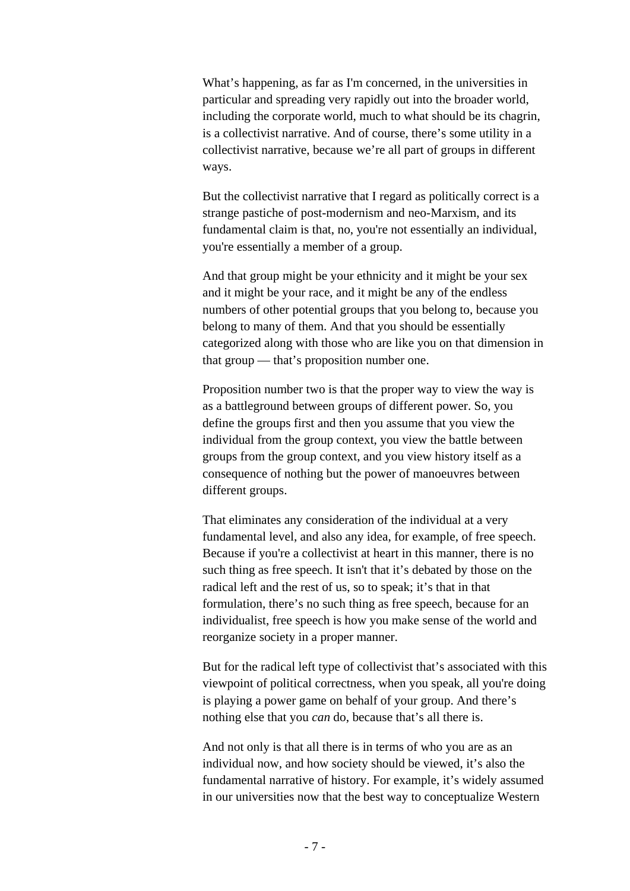What's happening, as far as I'm concerned, in the universities in particular and spreading very rapidly out into the broader world, including the corporate world, much to what should be its chagrin, is a collectivist narrative. And of course, there's some utility in a collectivist narrative, because we're all part of groups in different ways.

But the collectivist narrative that I regard as politically correct is a strange pastiche of post-modernism and neo-Marxism, and its fundamental claim is that, no, you're not essentially an individual, you're essentially a member of a group.

And that group might be your ethnicity and it might be your sex and it might be your race, and it might be any of the endless numbers of other potential groups that you belong to, because you belong to many of them. And that you should be essentially categorized along with those who are like you on that dimension in that group — that's proposition number one.

Proposition number two is that the proper way to view the way is as a battleground between groups of different power. So, you define the groups first and then you assume that you view the individual from the group context, you view the battle between groups from the group context, and you view history itself as a consequence of nothing but the power of manoeuvres between different groups.

That eliminates any consideration of the individual at a very fundamental level, and also any idea, for example, of free speech. Because if you're a collectivist at heart in this manner, there is no such thing as free speech. It isn't that it's debated by those on the radical left and the rest of us, so to speak; it's that in that formulation, there's no such thing as free speech, because for an individualist, free speech is how you make sense of the world and reorganize society in a proper manner.

But for the radical left type of collectivist that's associated with this viewpoint of political correctness, when you speak, all you're doing is playing a power game on behalf of your group. And there's nothing else that you *can* do, because that's all there is.

And not only is that all there is in terms of who you are as an individual now, and how society should be viewed, it's also the fundamental narrative of history. For example, it's widely assumed in our universities now that the best way to conceptualize Western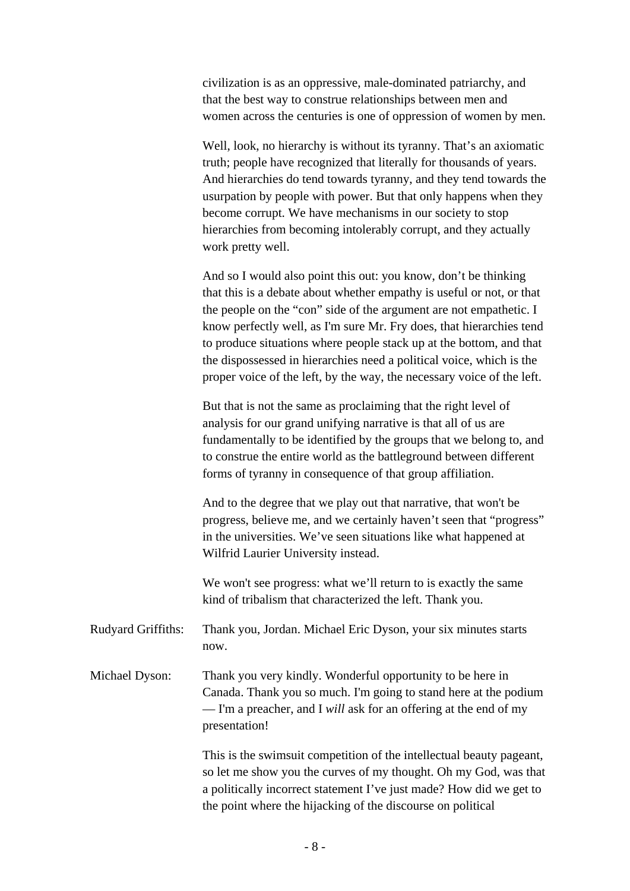civilization is as an oppressive, male-dominated patriarchy, and that the best way to construe relationships between men and women across the centuries is one of oppression of women by men.

Well, look, no hierarchy is without its tyranny. That's an axiomatic truth; people have recognized that literally for thousands of years. And hierarchies do tend towards tyranny, and they tend towards the usurpation by people with power. But that only happens when they become corrupt. We have mechanisms in our society to stop hierarchies from becoming intolerably corrupt, and they actually work pretty well.

And so I would also point this out: you know, don't be thinking that this is a debate about whether empathy is useful or not, or that the people on the "con" side of the argument are not empathetic. I know perfectly well, as I'm sure Mr. Fry does, that hierarchies tend to produce situations where people stack up at the bottom, and that the dispossessed in hierarchies need a political voice, which is the proper voice of the left, by the way, the necessary voice of the left.

But that is not the same as proclaiming that the right level of analysis for our grand unifying narrative is that all of us are fundamentally to be identified by the groups that we belong to, and to construe the entire world as the battleground between different forms of tyranny in consequence of that group affiliation.

And to the degree that we play out that narrative, that won't be progress, believe me, and we certainly haven't seen that "progress" in the universities. We've seen situations like what happened at Wilfrid Laurier University instead.

We won't see progress: what we'll return to is exactly the same kind of tribalism that characterized the left. Thank you.

- Rudyard Griffiths: Thank you, Jordan. Michael Eric Dyson, your six minutes starts now.
- Michael Dyson: Thank you very kindly. Wonderful opportunity to be here in Canada. Thank you so much. I'm going to stand here at the podium — I'm a preacher, and I *will* ask for an offering at the end of my presentation!

This is the swimsuit competition of the intellectual beauty pageant, so let me show you the curves of my thought. Oh my God, was that a politically incorrect statement I've just made? How did we get to the point where the hijacking of the discourse on political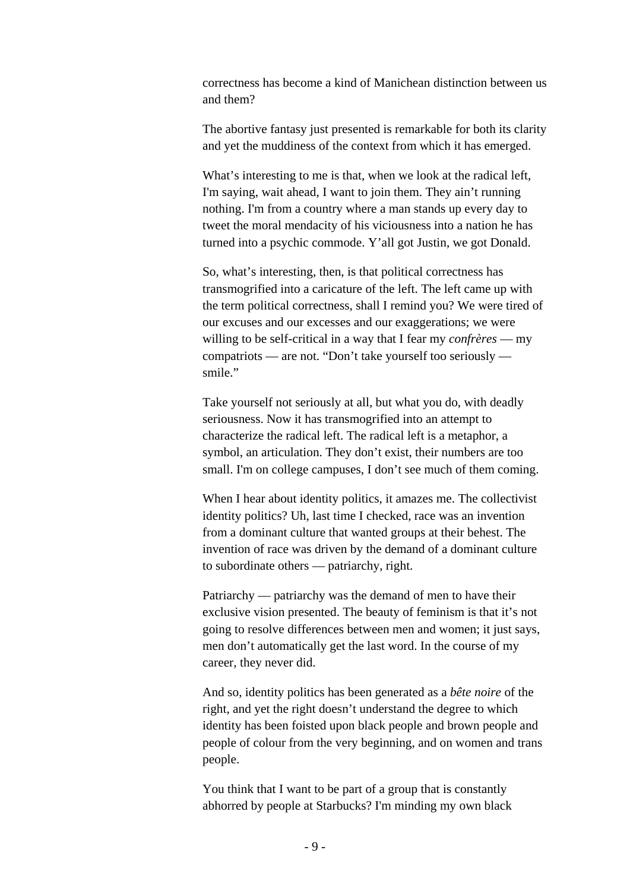correctness has become a kind of Manichean distinction between us and them?

The abortive fantasy just presented is remarkable for both its clarity and yet the muddiness of the context from which it has emerged.

What's interesting to me is that, when we look at the radical left, I'm saying, wait ahead, I want to join them. They ain't running nothing. I'm from a country where a man stands up every day to tweet the moral mendacity of his viciousness into a nation he has turned into a psychic commode. Y'all got Justin, we got Donald.

So, what's interesting, then, is that political correctness has transmogrified into a caricature of the left. The left came up with the term political correctness, shall I remind you? We were tired of our excuses and our excesses and our exaggerations; we were willing to be self-critical in a way that I fear my *confrères* — my compatriots — are not. "Don't take yourself too seriously smile."

Take yourself not seriously at all, but what you do, with deadly seriousness. Now it has transmogrified into an attempt to characterize the radical left. The radical left is a metaphor, a symbol, an articulation. They don't exist, their numbers are too small. I'm on college campuses, I don't see much of them coming.

When I hear about identity politics, it amazes me. The collectivist identity politics? Uh, last time I checked, race was an invention from a dominant culture that wanted groups at their behest. The invention of race was driven by the demand of a dominant culture to subordinate others — patriarchy, right.

Patriarchy — patriarchy was the demand of men to have their exclusive vision presented. The beauty of feminism is that it's not going to resolve differences between men and women; it just says, men don't automatically get the last word. In the course of my career, they never did.

And so, identity politics has been generated as a *bête noire* of the right, and yet the right doesn't understand the degree to which identity has been foisted upon black people and brown people and people of colour from the very beginning, and on women and trans people.

You think that I want to be part of a group that is constantly abhorred by people at Starbucks? I'm minding my own black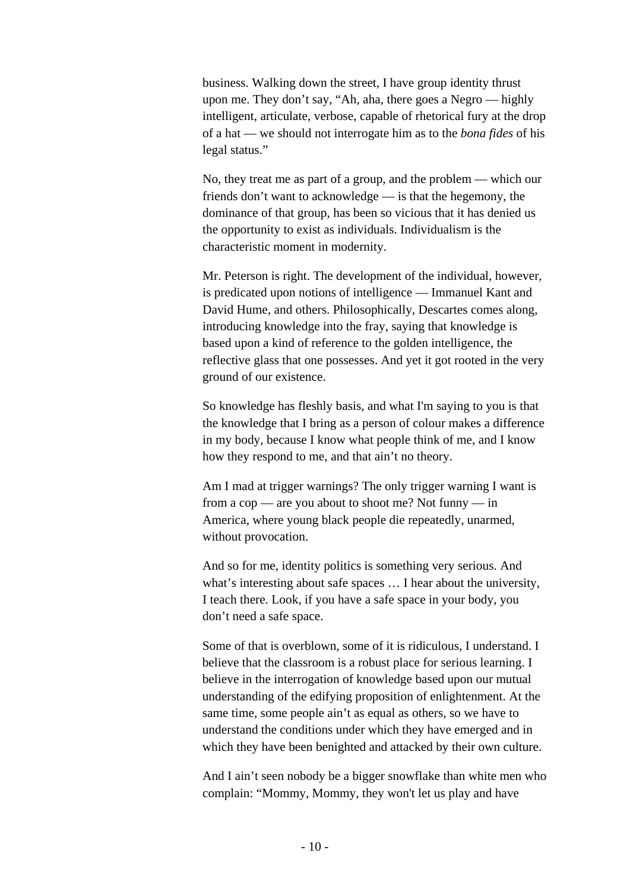business. Walking down the street, I have group identity thrust upon me. They don't say, "Ah, aha, there goes a Negro — highly intelligent, articulate, verbose, capable of rhetorical fury at the drop of a hat — we should not interrogate him as to the *bona fides* of his legal status."

No, they treat me as part of a group, and the problem — which our friends don't want to acknowledge — is that the hegemony, the dominance of that group, has been so vicious that it has denied us the opportunity to exist as individuals. Individualism is the characteristic moment in modernity.

Mr. Peterson is right. The development of the individual, however, is predicated upon notions of intelligence — Immanuel Kant and David Hume, and others. Philosophically, Descartes comes along, introducing knowledge into the fray, saying that knowledge is based upon a kind of reference to the golden intelligence, the reflective glass that one possesses. And yet it got rooted in the very ground of our existence.

So knowledge has fleshly basis, and what I'm saying to you is that the knowledge that I bring as a person of colour makes a difference in my body, because I know what people think of me, and I know how they respond to me, and that ain't no theory.

Am I mad at trigger warnings? The only trigger warning I want is from a cop — are you about to shoot me? Not funny — in America, where young black people die repeatedly, unarmed, without provocation.

And so for me, identity politics is something very serious. And what's interesting about safe spaces … I hear about the university, I teach there. Look, if you have a safe space in your body, you don't need a safe space.

Some of that is overblown, some of it is ridiculous, I understand. I believe that the classroom is a robust place for serious learning. I believe in the interrogation of knowledge based upon our mutual understanding of the edifying proposition of enlightenment. At the same time, some people ain't as equal as others, so we have to understand the conditions under which they have emerged and in which they have been benighted and attacked by their own culture.

And I ain't seen nobody be a bigger snowflake than white men who complain: "Mommy, Mommy, they won't let us play and have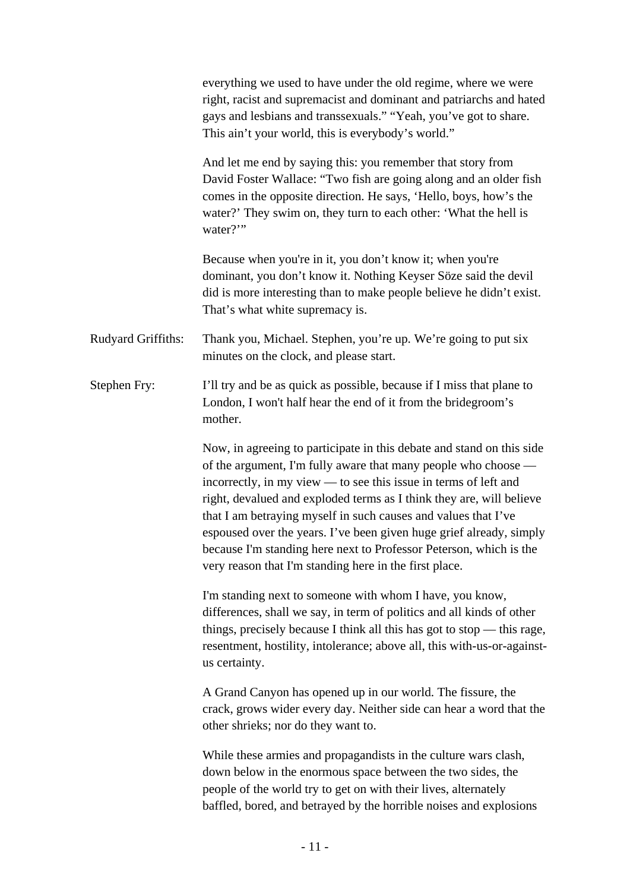|                    | everything we used to have under the old regime, where we were<br>right, racist and supremacist and dominant and patriarchs and hated<br>gays and lesbians and transsexuals." "Yeah, you've got to share.<br>This ain't your world, this is everybody's world."                                                                                                                                                                                                                                                                                              |
|--------------------|--------------------------------------------------------------------------------------------------------------------------------------------------------------------------------------------------------------------------------------------------------------------------------------------------------------------------------------------------------------------------------------------------------------------------------------------------------------------------------------------------------------------------------------------------------------|
|                    | And let me end by saying this: you remember that story from<br>David Foster Wallace: "Two fish are going along and an older fish<br>comes in the opposite direction. He says, 'Hello, boys, how's the<br>water?' They swim on, they turn to each other: 'What the hell is<br>water?"                                                                                                                                                                                                                                                                         |
|                    | Because when you're in it, you don't know it; when you're<br>dominant, you don't know it. Nothing Keyser Söze said the devil<br>did is more interesting than to make people believe he didn't exist.<br>That's what white supremacy is.                                                                                                                                                                                                                                                                                                                      |
| Rudyard Griffiths: | Thank you, Michael. Stephen, you're up. We're going to put six<br>minutes on the clock, and please start.                                                                                                                                                                                                                                                                                                                                                                                                                                                    |
| Stephen Fry:       | I'll try and be as quick as possible, because if I miss that plane to<br>London, I won't half hear the end of it from the bridegroom's<br>mother.                                                                                                                                                                                                                                                                                                                                                                                                            |
|                    | Now, in agreeing to participate in this debate and stand on this side<br>of the argument, I'm fully aware that many people who choose —<br>incorrectly, in my view — to see this issue in terms of left and<br>right, devalued and exploded terms as I think they are, will believe<br>that I am betraying myself in such causes and values that I've<br>espoused over the years. I've been given huge grief already, simply<br>because I'm standing here next to Professor Peterson, which is the<br>very reason that I'm standing here in the first place. |
|                    | I'm standing next to someone with whom I have, you know,<br>differences, shall we say, in term of politics and all kinds of other<br>things, precisely because I think all this has got to stop - this rage,<br>resentment, hostility, intolerance; above all, this with-us-or-against-<br>us certainty.                                                                                                                                                                                                                                                     |
|                    | A Grand Canyon has opened up in our world. The fissure, the<br>crack, grows wider every day. Neither side can hear a word that the<br>other shrieks; nor do they want to.                                                                                                                                                                                                                                                                                                                                                                                    |
|                    | While these armies and propagandists in the culture wars clash,<br>down below in the enormous space between the two sides, the<br>people of the world try to get on with their lives, alternately<br>baffled, bored, and betrayed by the horrible noises and explosions                                                                                                                                                                                                                                                                                      |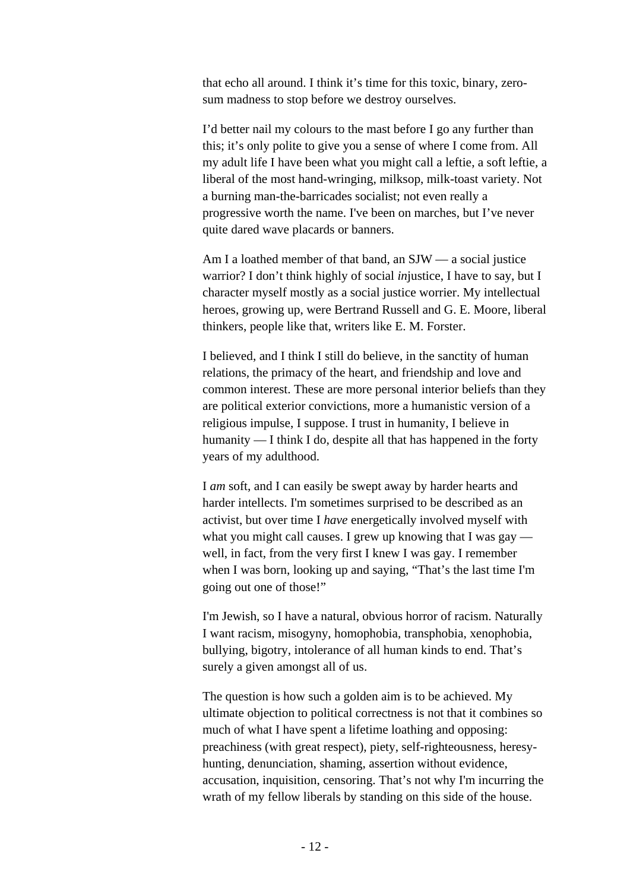that echo all around. I think it's time for this toxic, binary, zerosum madness to stop before we destroy ourselves.

I'd better nail my colours to the mast before I go any further than this; it's only polite to give you a sense of where I come from. All my adult life I have been what you might call a leftie, a soft leftie, a liberal of the most hand-wringing, milksop, milk-toast variety. Not a burning man-the-barricades socialist; not even really a progressive worth the name. I've been on marches, but I've never quite dared wave placards or banners.

Am I a loathed member of that band, an SJW — a social justice warrior? I don't think highly of social *in*justice, I have to say, but I character myself mostly as a social justice worrier. My intellectual heroes, growing up, were Bertrand Russell and G. E. Moore, liberal thinkers, people like that, writers like E. M. Forster.

I believed, and I think I still do believe, in the sanctity of human relations, the primacy of the heart, and friendship and love and common interest. These are more personal interior beliefs than they are political exterior convictions, more a humanistic version of a religious impulse, I suppose. I trust in humanity, I believe in humanity — I think I do, despite all that has happened in the forty years of my adulthood.

I *am* soft, and I can easily be swept away by harder hearts and harder intellects. I'm sometimes surprised to be described as an activist, but over time I *have* energetically involved myself with what you might call causes. I grew up knowing that I was gay well, in fact, from the very first I knew I was gay. I remember when I was born, looking up and saying, "That's the last time I'm going out one of those!"

I'm Jewish, so I have a natural, obvious horror of racism. Naturally I want racism, misogyny, homophobia, transphobia, xenophobia, bullying, bigotry, intolerance of all human kinds to end. That's surely a given amongst all of us.

The question is how such a golden aim is to be achieved. My ultimate objection to political correctness is not that it combines so much of what I have spent a lifetime loathing and opposing: preachiness (with great respect), piety, self-righteousness, heresyhunting, denunciation, shaming, assertion without evidence, accusation, inquisition, censoring. That's not why I'm incurring the wrath of my fellow liberals by standing on this side of the house.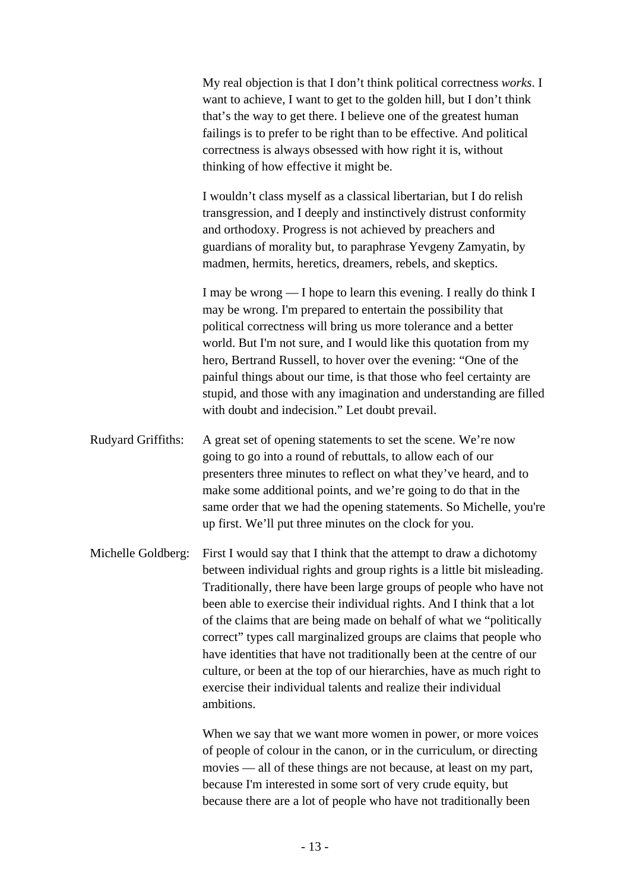My real objection is that I don't think political correctness *works*. I want to achieve, I want to get to the golden hill, but I don't think that's the way to get there. I believe one of the greatest human failings is to prefer to be right than to be effective. And political correctness is always obsessed with how right it is, without thinking of how effective it might be.

I wouldn't class myself as a classical libertarian, but I do relish transgression, and I deeply and instinctively distrust conformity and orthodoxy. Progress is not achieved by preachers and guardians of morality but, to paraphrase Yevgeny Zamyatin, by madmen, hermits, heretics, dreamers, rebels, and skeptics.

I may be wrong — I hope to learn this evening. I really do think I may be wrong. I'm prepared to entertain the possibility that political correctness will bring us more tolerance and a better world. But I'm not sure, and I would like this quotation from my hero, Bertrand Russell, to hover over the evening: "One of the painful things about our time, is that those who feel certainty are stupid, and those with any imagination and understanding are filled with doubt and indecision." Let doubt prevail.

Rudyard Griffiths: A great set of opening statements to set the scene. We're now going to go into a round of rebuttals, to allow each of our presenters three minutes to reflect on what they've heard, and to make some additional points, and we're going to do that in the same order that we had the opening statements. So Michelle, you're up first. We'll put three minutes on the clock for you.

Michelle Goldberg: First I would say that I think that the attempt to draw a dichotomy between individual rights and group rights is a little bit misleading. Traditionally, there have been large groups of people who have not been able to exercise their individual rights. And I think that a lot of the claims that are being made on behalf of what we "politically correct" types call marginalized groups are claims that people who have identities that have not traditionally been at the centre of our culture, or been at the top of our hierarchies, have as much right to exercise their individual talents and realize their individual ambitions.

> When we say that we want more women in power, or more voices of people of colour in the canon, or in the curriculum, or directing movies — all of these things are not because, at least on my part, because I'm interested in some sort of very crude equity, but because there are a lot of people who have not traditionally been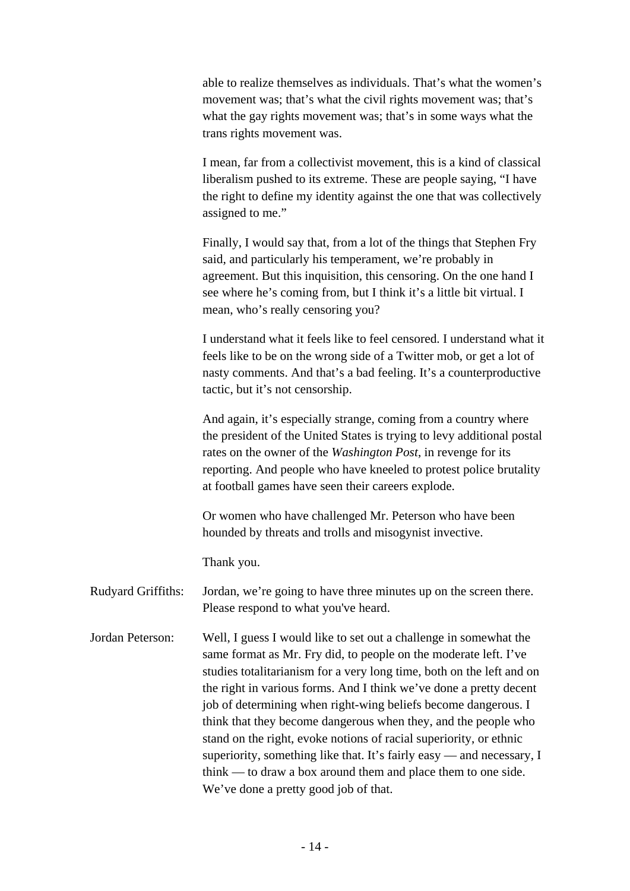able to realize themselves as individuals. That's what the women's movement was; that's what the civil rights movement was; that's what the gay rights movement was; that's in some ways what the trans rights movement was.

I mean, far from a collectivist movement, this is a kind of classical liberalism pushed to its extreme. These are people saying, "I have the right to define my identity against the one that was collectively assigned to me."

Finally, I would say that, from a lot of the things that Stephen Fry said, and particularly his temperament, we're probably in agreement. But this inquisition, this censoring. On the one hand I see where he's coming from, but I think it's a little bit virtual. I mean, who's really censoring you?

I understand what it feels like to feel censored. I understand what it feels like to be on the wrong side of a Twitter mob, or get a lot of nasty comments. And that's a bad feeling. It's a counterproductive tactic, but it's not censorship.

And again, it's especially strange, coming from a country where the president of the United States is trying to levy additional postal rates on the owner of the *Washington Post*, in revenge for its reporting. And people who have kneeled to protest police brutality at football games have seen their careers explode.

Or women who have challenged Mr. Peterson who have been hounded by threats and trolls and misogynist invective.

Thank you.

Rudyard Griffiths: Jordan, we're going to have three minutes up on the screen there. Please respond to what you've heard.

Jordan Peterson: Well, I guess I would like to set out a challenge in somewhat the same format as Mr. Fry did, to people on the moderate left. I've studies totalitarianism for a very long time, both on the left and on the right in various forms. And I think we've done a pretty decent job of determining when right-wing beliefs become dangerous. I think that they become dangerous when they, and the people who stand on the right, evoke notions of racial superiority, or ethnic superiority, something like that. It's fairly easy — and necessary, I think — to draw a box around them and place them to one side. We've done a pretty good job of that.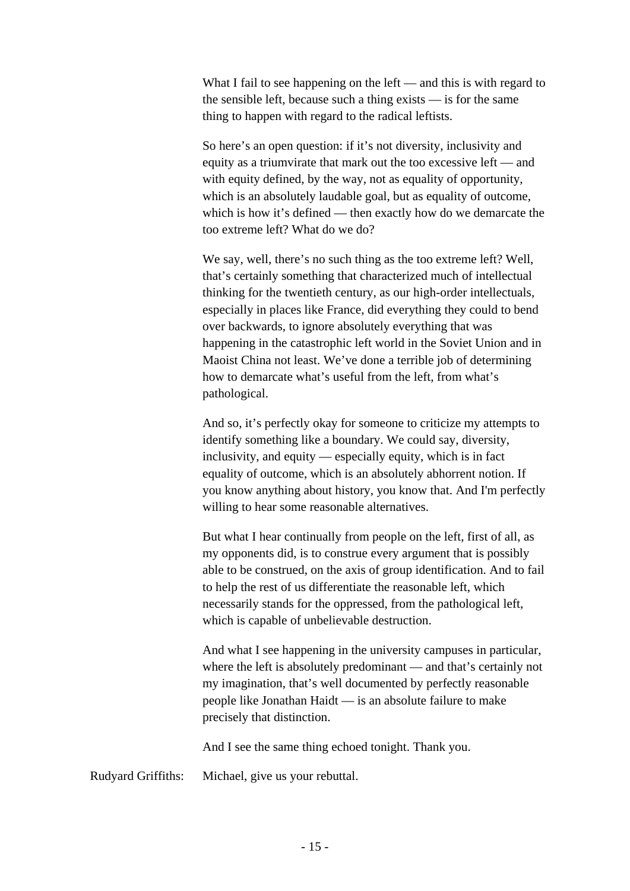What I fail to see happening on the left — and this is with regard to the sensible left, because such a thing exists — is for the same thing to happen with regard to the radical leftists.

So here's an open question: if it's not diversity, inclusivity and equity as a triumvirate that mark out the too excessive left — and with equity defined, by the way, not as equality of opportunity, which is an absolutely laudable goal, but as equality of outcome, which is how it's defined — then exactly how do we demarcate the too extreme left? What do we do?

We say, well, there's no such thing as the too extreme left? Well, that's certainly something that characterized much of intellectual thinking for the twentieth century, as our high-order intellectuals, especially in places like France, did everything they could to bend over backwards, to ignore absolutely everything that was happening in the catastrophic left world in the Soviet Union and in Maoist China not least. We've done a terrible job of determining how to demarcate what's useful from the left, from what's pathological.

And so, it's perfectly okay for someone to criticize my attempts to identify something like a boundary. We could say, diversity, inclusivity, and equity — especially equity, which is in fact equality of outcome, which is an absolutely abhorrent notion. If you know anything about history, you know that. And I'm perfectly willing to hear some reasonable alternatives.

But what I hear continually from people on the left, first of all, as my opponents did, is to construe every argument that is possibly able to be construed, on the axis of group identification. And to fail to help the rest of us differentiate the reasonable left, which necessarily stands for the oppressed, from the pathological left, which is capable of unbelievable destruction.

And what I see happening in the university campuses in particular, where the left is absolutely predominant — and that's certainly not my imagination, that's well documented by perfectly reasonable people like Jonathan Haidt — is an absolute failure to make precisely that distinction.

And I see the same thing echoed tonight. Thank you.

Rudyard Griffiths: Michael, give us your rebuttal.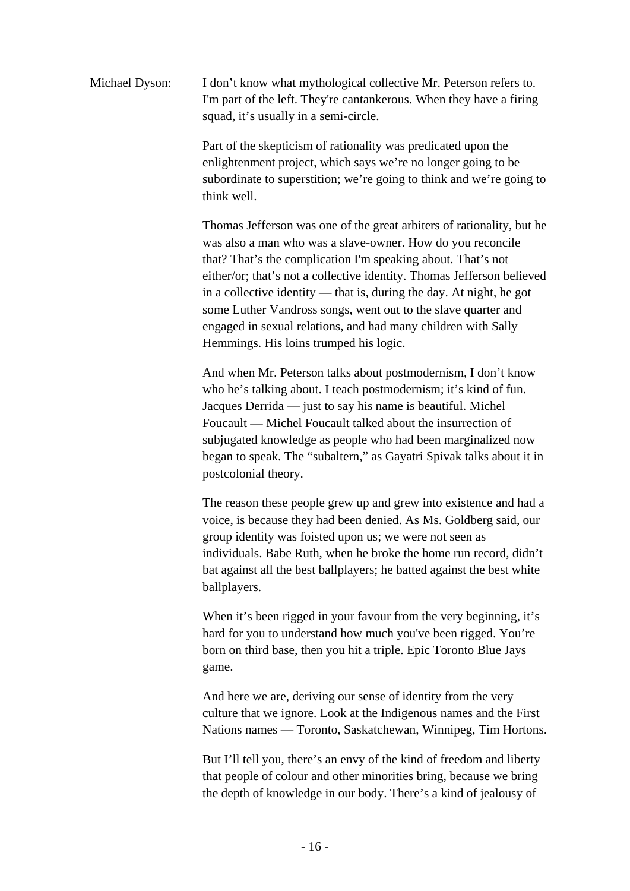Michael Dyson: I don't know what mythological collective Mr. Peterson refers to. I'm part of the left. They're cantankerous. When they have a firing squad, it's usually in a semi-circle.

> Part of the skepticism of rationality was predicated upon the enlightenment project, which says we're no longer going to be subordinate to superstition; we're going to think and we're going to think well.

> Thomas Jefferson was one of the great arbiters of rationality, but he was also a man who was a slave-owner. How do you reconcile that? That's the complication I'm speaking about. That's not either/or; that's not a collective identity. Thomas Jefferson believed in a collective identity — that is, during the day. At night, he got some Luther Vandross songs, went out to the slave quarter and engaged in sexual relations, and had many children with Sally Hemmings. His loins trumped his logic.

And when Mr. Peterson talks about postmodernism, I don't know who he's talking about. I teach postmodernism; it's kind of fun. Jacques Derrida — just to say his name is beautiful. Michel Foucault — Michel Foucault talked about the insurrection of subjugated knowledge as people who had been marginalized now began to speak. The "subaltern," as Gayatri Spivak talks about it in postcolonial theory.

The reason these people grew up and grew into existence and had a voice, is because they had been denied. As Ms. Goldberg said, our group identity was foisted upon us; we were not seen as individuals. Babe Ruth, when he broke the home run record, didn't bat against all the best ballplayers; he batted against the best white ballplayers.

When it's been rigged in your favour from the very beginning, it's hard for you to understand how much you've been rigged. You're born on third base, then you hit a triple. Epic Toronto Blue Jays game.

And here we are, deriving our sense of identity from the very culture that we ignore. Look at the Indigenous names and the First Nations names — Toronto, Saskatchewan, Winnipeg, Tim Hortons.

But I'll tell you, there's an envy of the kind of freedom and liberty that people of colour and other minorities bring, because we bring the depth of knowledge in our body. There's a kind of jealousy of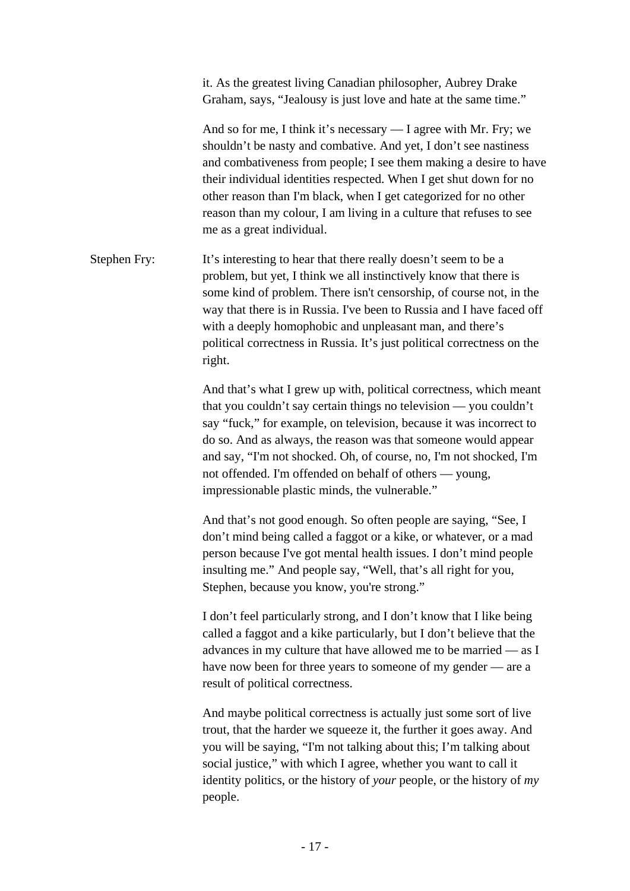it. As the greatest living Canadian philosopher, Aubrey Drake Graham, says, "Jealousy is just love and hate at the same time."

And so for me, I think it's necessary — I agree with Mr. Fry; we shouldn't be nasty and combative. And yet, I don't see nastiness and combativeness from people; I see them making a desire to have their individual identities respected. When I get shut down for no other reason than I'm black, when I get categorized for no other reason than my colour, I am living in a culture that refuses to see me as a great individual.

Stephen Fry: It's interesting to hear that there really doesn't seem to be a problem, but yet, I think we all instinctively know that there is some kind of problem. There isn't censorship, of course not, in the way that there is in Russia. I've been to Russia and I have faced off with a deeply homophobic and unpleasant man, and there's political correctness in Russia. It's just political correctness on the right.

> And that's what I grew up with, political correctness, which meant that you couldn't say certain things no television — you couldn't say "fuck," for example, on television, because it was incorrect to do so. And as always, the reason was that someone would appear and say, "I'm not shocked. Oh, of course, no, I'm not shocked, I'm not offended. I'm offended on behalf of others — young, impressionable plastic minds, the vulnerable."

And that's not good enough. So often people are saying, "See, I don't mind being called a faggot or a kike, or whatever, or a mad person because I've got mental health issues. I don't mind people insulting me." And people say, "Well, that's all right for you, Stephen, because you know, you're strong."

I don't feel particularly strong, and I don't know that I like being called a faggot and a kike particularly, but I don't believe that the advances in my culture that have allowed me to be married — as I have now been for three years to someone of my gender — are a result of political correctness.

And maybe political correctness is actually just some sort of live trout, that the harder we squeeze it, the further it goes away. And you will be saying, "I'm not talking about this; I'm talking about social justice," with which I agree, whether you want to call it identity politics, or the history of *your* people, or the history of *my* people.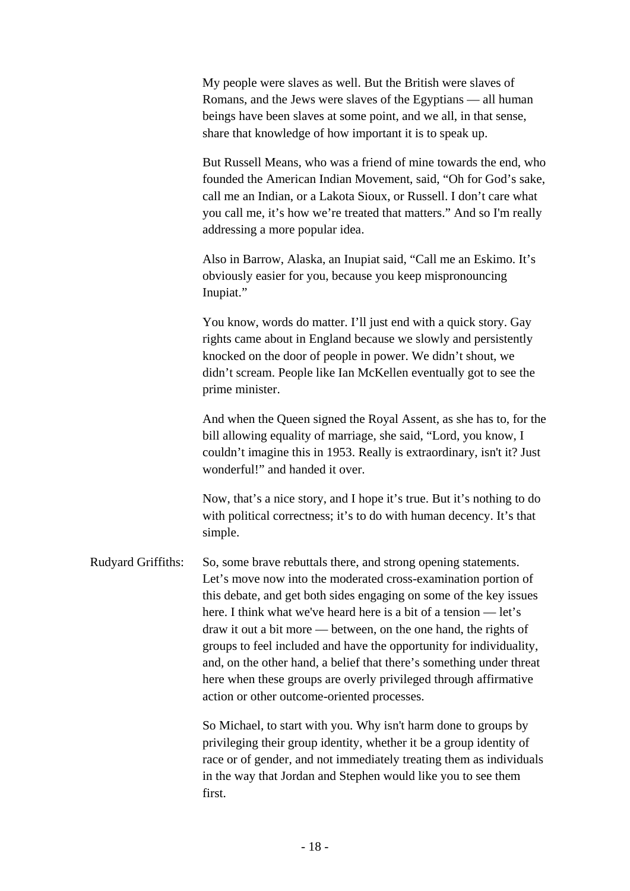My people were slaves as well. But the British were slaves of Romans, and the Jews were slaves of the Egyptians — all human beings have been slaves at some point, and we all, in that sense, share that knowledge of how important it is to speak up.

But Russell Means, who was a friend of mine towards the end, who founded the American Indian Movement, said, "Oh for God's sake, call me an Indian, or a Lakota Sioux, or Russell. I don't care what you call me, it's how we're treated that matters." And so I'm really addressing a more popular idea.

Also in Barrow, Alaska, an Inupiat said, "Call me an Eskimo. It's obviously easier for you, because you keep mispronouncing Inupiat."

You know, words do matter. I'll just end with a quick story. Gay rights came about in England because we slowly and persistently knocked on the door of people in power. We didn't shout, we didn't scream. People like Ian McKellen eventually got to see the prime minister.

And when the Queen signed the Royal Assent, as she has to, for the bill allowing equality of marriage, she said, "Lord, you know, I couldn't imagine this in 1953. Really is extraordinary, isn't it? Just wonderful!" and handed it over.

Now, that's a nice story, and I hope it's true. But it's nothing to do with political correctness; it's to do with human decency. It's that simple.

Rudyard Griffiths: So, some brave rebuttals there, and strong opening statements. Let's move now into the moderated cross-examination portion of this debate, and get both sides engaging on some of the key issues here. I think what we've heard here is a bit of a tension — let's draw it out a bit more — between, on the one hand, the rights of groups to feel included and have the opportunity for individuality, and, on the other hand, a belief that there's something under threat here when these groups are overly privileged through affirmative action or other outcome-oriented processes.

> So Michael, to start with you. Why isn't harm done to groups by privileging their group identity, whether it be a group identity of race or of gender, and not immediately treating them as individuals in the way that Jordan and Stephen would like you to see them first.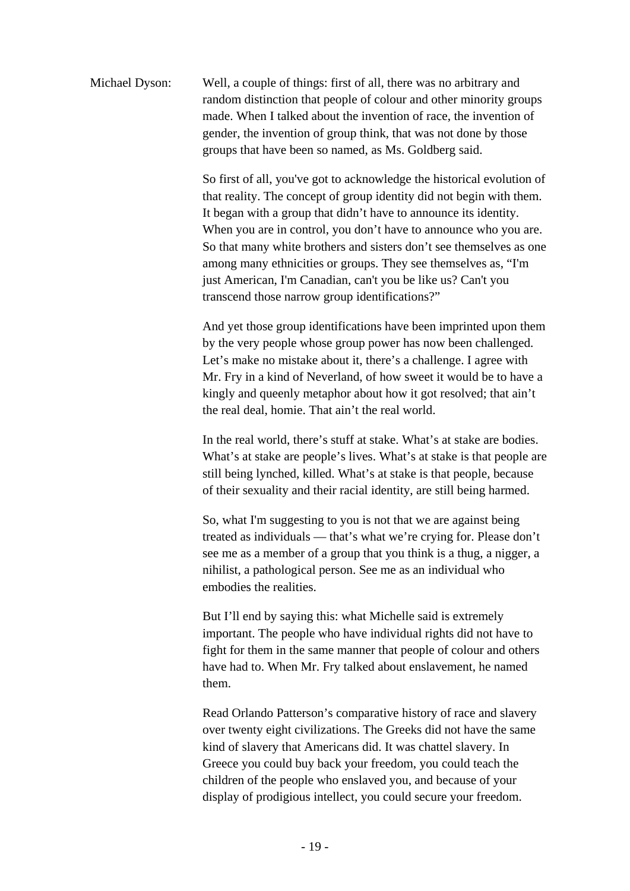Michael Dyson: Well, a couple of things: first of all, there was no arbitrary and random distinction that people of colour and other minority groups made. When I talked about the invention of race, the invention of gender, the invention of group think, that was not done by those groups that have been so named, as Ms. Goldberg said.

> So first of all, you've got to acknowledge the historical evolution of that reality. The concept of group identity did not begin with them. It began with a group that didn't have to announce its identity. When you are in control, you don't have to announce who you are. So that many white brothers and sisters don't see themselves as one among many ethnicities or groups. They see themselves as, "I'm just American, I'm Canadian, can't you be like us? Can't you transcend those narrow group identifications?"

> And yet those group identifications have been imprinted upon them by the very people whose group power has now been challenged. Let's make no mistake about it, there's a challenge. I agree with Mr. Fry in a kind of Neverland, of how sweet it would be to have a kingly and queenly metaphor about how it got resolved; that ain't the real deal, homie. That ain't the real world.

> In the real world, there's stuff at stake. What's at stake are bodies. What's at stake are people's lives. What's at stake is that people are still being lynched, killed. What's at stake is that people, because of their sexuality and their racial identity, are still being harmed.

So, what I'm suggesting to you is not that we are against being treated as individuals — that's what we're crying for. Please don't see me as a member of a group that you think is a thug, a nigger, a nihilist, a pathological person. See me as an individual who embodies the realities.

But I'll end by saying this: what Michelle said is extremely important. The people who have individual rights did not have to fight for them in the same manner that people of colour and others have had to. When Mr. Fry talked about enslavement, he named them.

Read Orlando Patterson's comparative history of race and slavery over twenty eight civilizations. The Greeks did not have the same kind of slavery that Americans did. It was chattel slavery. In Greece you could buy back your freedom, you could teach the children of the people who enslaved you, and because of your display of prodigious intellect, you could secure your freedom.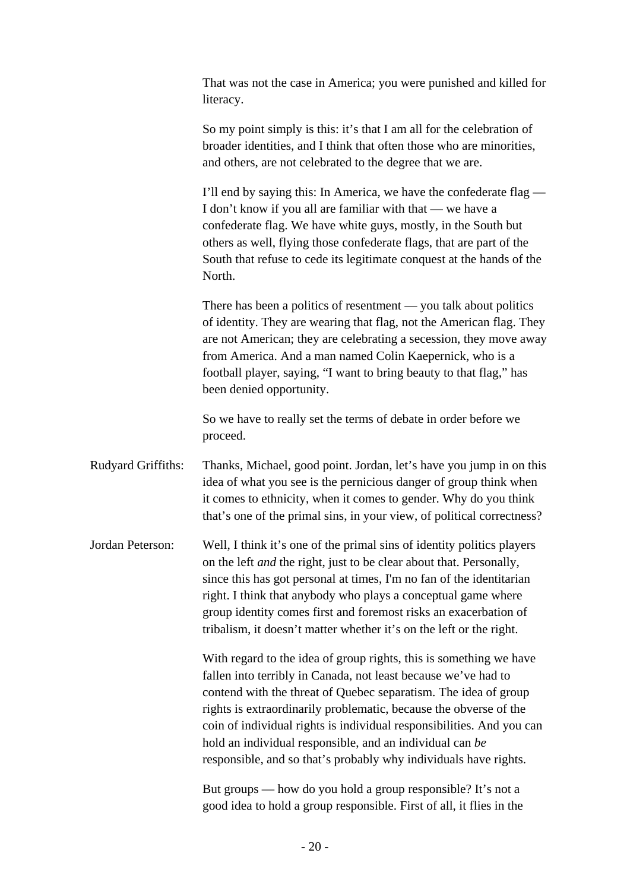That was not the case in America; you were punished and killed for literacy.

So my point simply is this: it's that I am all for the celebration of broader identities, and I think that often those who are minorities, and others, are not celebrated to the degree that we are.

I'll end by saying this: In America, we have the confederate flag — I don't know if you all are familiar with that — we have a confederate flag. We have white guys, mostly, in the South but others as well, flying those confederate flags, that are part of the South that refuse to cede its legitimate conquest at the hands of the North.

There has been a politics of resentment — you talk about politics of identity. They are wearing that flag, not the American flag. They are not American; they are celebrating a secession, they move away from America. And a man named Colin Kaepernick, who is a football player, saying, "I want to bring beauty to that flag," has been denied opportunity.

So we have to really set the terms of debate in order before we proceed.

- Rudyard Griffiths: Thanks, Michael, good point. Jordan, let's have you jump in on this idea of what you see is the pernicious danger of group think when it comes to ethnicity, when it comes to gender. Why do you think that's one of the primal sins, in your view, of political correctness?
- Jordan Peterson: Well, I think it's one of the primal sins of identity politics players on the left *and* the right, just to be clear about that. Personally, since this has got personal at times, I'm no fan of the identitarian right. I think that anybody who plays a conceptual game where group identity comes first and foremost risks an exacerbation of tribalism, it doesn't matter whether it's on the left or the right.

With regard to the idea of group rights, this is something we have fallen into terribly in Canada, not least because we've had to contend with the threat of Quebec separatism. The idea of group rights is extraordinarily problematic, because the obverse of the coin of individual rights is individual responsibilities. And you can hold an individual responsible, and an individual can *be* responsible, and so that's probably why individuals have rights.

But groups — how do you hold a group responsible? It's not a good idea to hold a group responsible. First of all, it flies in the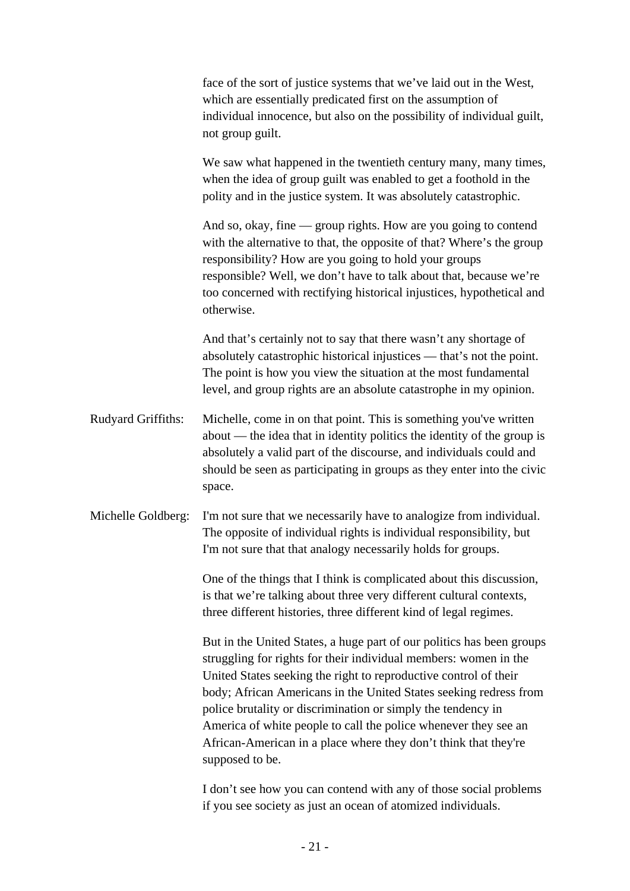|                           | face of the sort of justice systems that we've laid out in the West,<br>which are essentially predicated first on the assumption of<br>individual innocence, but also on the possibility of individual guilt,<br>not group guilt.                                                                                                                                                                                                                                                                           |
|---------------------------|-------------------------------------------------------------------------------------------------------------------------------------------------------------------------------------------------------------------------------------------------------------------------------------------------------------------------------------------------------------------------------------------------------------------------------------------------------------------------------------------------------------|
|                           | We saw what happened in the twentieth century many, many times,<br>when the idea of group guilt was enabled to get a foothold in the<br>polity and in the justice system. It was absolutely catastrophic.                                                                                                                                                                                                                                                                                                   |
|                           | And so, okay, fine — group rights. How are you going to contend<br>with the alternative to that, the opposite of that? Where's the group<br>responsibility? How are you going to hold your groups<br>responsible? Well, we don't have to talk about that, because we're<br>too concerned with rectifying historical injustices, hypothetical and<br>otherwise.                                                                                                                                              |
|                           | And that's certainly not to say that there wasn't any shortage of<br>absolutely catastrophic historical injustices — that's not the point.<br>The point is how you view the situation at the most fundamental<br>level, and group rights are an absolute catastrophe in my opinion.                                                                                                                                                                                                                         |
| <b>Rudyard Griffiths:</b> | Michelle, come in on that point. This is something you've written<br>about — the idea that in identity politics the identity of the group is<br>absolutely a valid part of the discourse, and individuals could and<br>should be seen as participating in groups as they enter into the civic<br>space.                                                                                                                                                                                                     |
| Michelle Goldberg:        | I'm not sure that we necessarily have to analogize from individual.<br>The opposite of individual rights is individual responsibility, but<br>I'm not sure that that analogy necessarily holds for groups.                                                                                                                                                                                                                                                                                                  |
|                           | One of the things that I think is complicated about this discussion,<br>is that we're talking about three very different cultural contexts,<br>three different histories, three different kind of legal regimes.                                                                                                                                                                                                                                                                                            |
|                           | But in the United States, a huge part of our politics has been groups<br>struggling for rights for their individual members: women in the<br>United States seeking the right to reproductive control of their<br>body; African Americans in the United States seeking redress from<br>police brutality or discrimination or simply the tendency in<br>America of white people to call the police whenever they see an<br>African-American in a place where they don't think that they're<br>supposed to be. |
|                           | I don't see how you can contend with any of those social problems<br>if you see society as just an ocean of atomized individuals.                                                                                                                                                                                                                                                                                                                                                                           |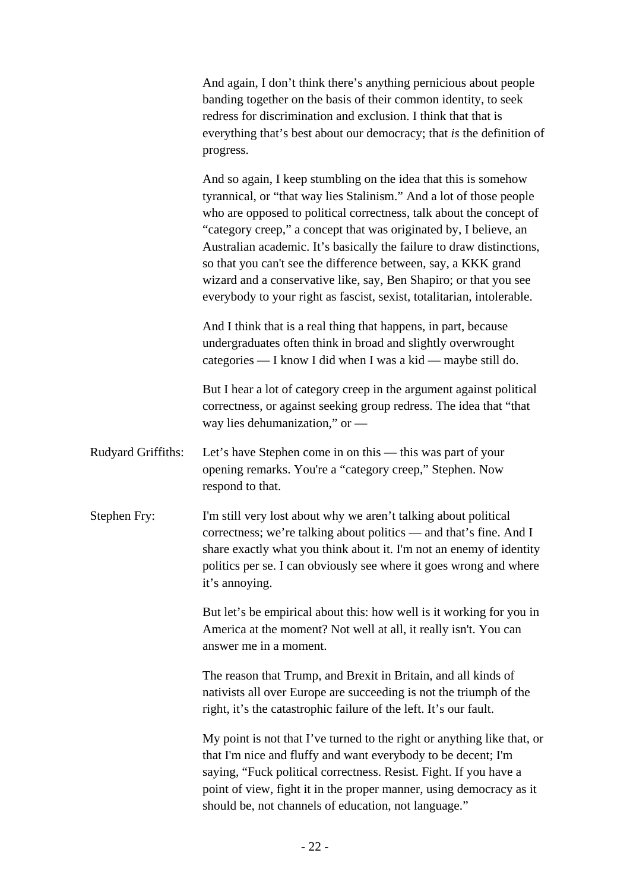And again, I don't think there's anything pernicious about people banding together on the basis of their common identity, to seek redress for discrimination and exclusion. I think that that is everything that's best about our democracy; that *is* the definition of progress. And so again, I keep stumbling on the idea that this is somehow tyrannical, or "that way lies Stalinism." And a lot of those people who are opposed to political correctness, talk about the concept of "category creep," a concept that was originated by, I believe, an Australian academic. It's basically the failure to draw distinctions, so that you can't see the difference between, say, a KKK grand wizard and a conservative like, say, Ben Shapiro; or that you see everybody to your right as fascist, sexist, totalitarian, intolerable. And I think that is a real thing that happens, in part, because undergraduates often think in broad and slightly overwrought categories — I know I did when I was a kid — maybe still do. But I hear a lot of category creep in the argument against political correctness, or against seeking group redress. The idea that "that way lies dehumanization," or — Rudyard Griffiths: Let's have Stephen come in on this — this was part of your opening remarks. You're a "category creep," Stephen. Now respond to that. Stephen Fry: I'm still very lost about why we aren't talking about political correctness; we're talking about politics — and that's fine. And I share exactly what you think about it. I'm not an enemy of identity politics per se. I can obviously see where it goes wrong and where it's annoying. But let's be empirical about this: how well is it working for you in America at the moment? Not well at all, it really isn't. You can answer me in a moment. The reason that Trump, and Brexit in Britain, and all kinds of nativists all over Europe are succeeding is not the triumph of the right, it's the catastrophic failure of the left. It's our fault. My point is not that I've turned to the right or anything like that, or that I'm nice and fluffy and want everybody to be decent; I'm saying, "Fuck political correctness. Resist. Fight. If you have a point of view, fight it in the proper manner, using democracy as it should be, not channels of education, not language."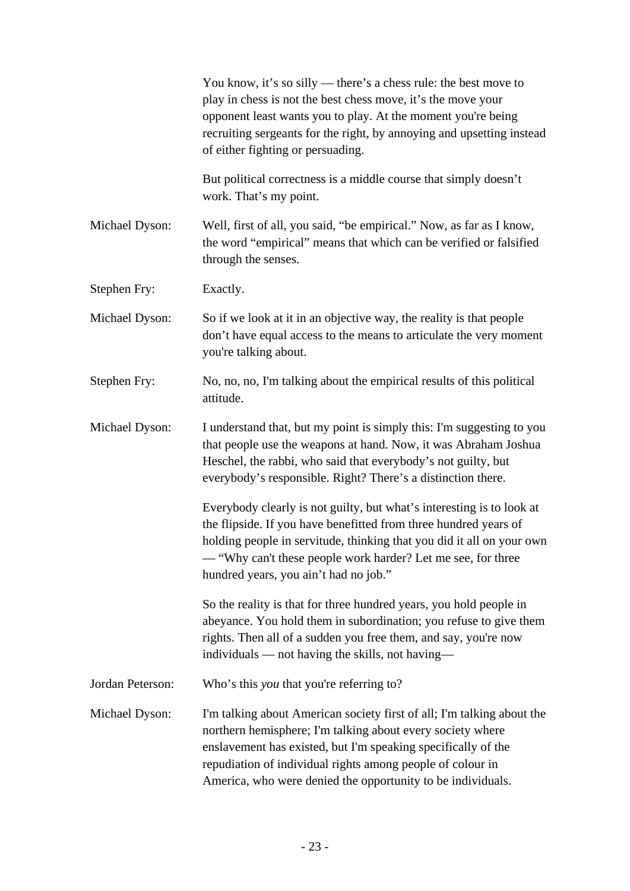|                  | You know, it's so silly — there's a chess rule: the best move to<br>play in chess is not the best chess move, it's the move your<br>opponent least wants you to play. At the moment you're being<br>recruiting sergeants for the right, by annoying and upsetting instead<br>of either fighting or persuading.                     |
|------------------|------------------------------------------------------------------------------------------------------------------------------------------------------------------------------------------------------------------------------------------------------------------------------------------------------------------------------------|
|                  | But political correctness is a middle course that simply doesn't<br>work. That's my point.                                                                                                                                                                                                                                         |
| Michael Dyson:   | Well, first of all, you said, "be empirical." Now, as far as I know,<br>the word "empirical" means that which can be verified or falsified<br>through the senses.                                                                                                                                                                  |
| Stephen Fry:     | Exactly.                                                                                                                                                                                                                                                                                                                           |
| Michael Dyson:   | So if we look at it in an objective way, the reality is that people<br>don't have equal access to the means to articulate the very moment<br>you're talking about.                                                                                                                                                                 |
| Stephen Fry:     | No, no, no, I'm talking about the empirical results of this political<br>attitude.                                                                                                                                                                                                                                                 |
| Michael Dyson:   | I understand that, but my point is simply this: I'm suggesting to you<br>that people use the weapons at hand. Now, it was Abraham Joshua<br>Heschel, the rabbi, who said that everybody's not guilty, but<br>everybody's responsible. Right? There's a distinction there.                                                          |
|                  | Everybody clearly is not guilty, but what's interesting is to look at<br>the flipside. If you have benefitted from three hundred years of<br>holding people in servitude, thinking that you did it all on your own<br>— "Why can't these people work harder? Let me see, for three<br>hundred years, you ain't had no job."        |
|                  | So the reality is that for three hundred years, you hold people in<br>abeyance. You hold them in subordination; you refuse to give them<br>rights. Then all of a sudden you free them, and say, you're now<br>individuals — not having the skills, not having—                                                                     |
| Jordan Peterson: | Who's this <i>you</i> that you're referring to?                                                                                                                                                                                                                                                                                    |
| Michael Dyson:   | I'm talking about American society first of all; I'm talking about the<br>northern hemisphere; I'm talking about every society where<br>enslavement has existed, but I'm speaking specifically of the<br>repudiation of individual rights among people of colour in<br>America, who were denied the opportunity to be individuals. |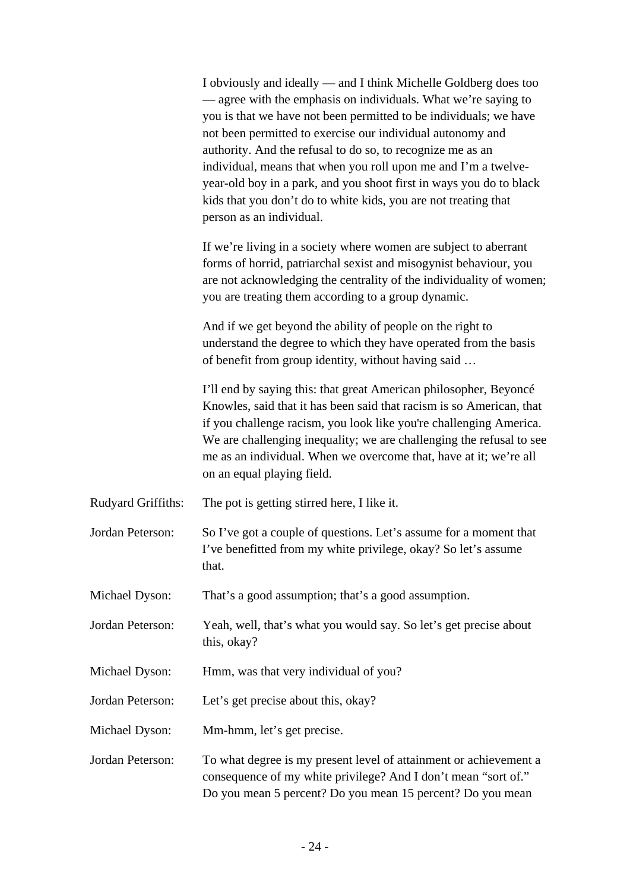|                           | I obviously and ideally — and I think Michelle Goldberg does too<br>— agree with the emphasis on individuals. What we're saying to<br>you is that we have not been permitted to be individuals; we have<br>not been permitted to exercise our individual autonomy and<br>authority. And the refusal to do so, to recognize me as an<br>individual, means that when you roll upon me and I'm a twelve-<br>year-old boy in a park, and you shoot first in ways you do to black<br>kids that you don't do to white kids, you are not treating that<br>person as an individual. |
|---------------------------|-----------------------------------------------------------------------------------------------------------------------------------------------------------------------------------------------------------------------------------------------------------------------------------------------------------------------------------------------------------------------------------------------------------------------------------------------------------------------------------------------------------------------------------------------------------------------------|
|                           | If we're living in a society where women are subject to aberrant<br>forms of horrid, patriarchal sexist and misogynist behaviour, you<br>are not acknowledging the centrality of the individuality of women;<br>you are treating them according to a group dynamic.                                                                                                                                                                                                                                                                                                         |
|                           | And if we get beyond the ability of people on the right to<br>understand the degree to which they have operated from the basis<br>of benefit from group identity, without having said                                                                                                                                                                                                                                                                                                                                                                                       |
|                           | I'll end by saying this: that great American philosopher, Beyoncé<br>Knowles, said that it has been said that racism is so American, that<br>if you challenge racism, you look like you're challenging America.<br>We are challenging inequality; we are challenging the refusal to see<br>me as an individual. When we overcome that, have at it; we're all<br>on an equal playing field.                                                                                                                                                                                  |
| <b>Rudyard Griffiths:</b> | The pot is getting stirred here, I like it.                                                                                                                                                                                                                                                                                                                                                                                                                                                                                                                                 |
| Jordan Peterson:          | So I've got a couple of questions. Let's assume for a moment that<br>I've benefitted from my white privilege, okay? So let's assume<br>that.                                                                                                                                                                                                                                                                                                                                                                                                                                |
| Michael Dyson:            | That's a good assumption; that's a good assumption.                                                                                                                                                                                                                                                                                                                                                                                                                                                                                                                         |
| Jordan Peterson:          | Yeah, well, that's what you would say. So let's get precise about<br>this, okay?                                                                                                                                                                                                                                                                                                                                                                                                                                                                                            |
| Michael Dyson:            | Hmm, was that very individual of you?                                                                                                                                                                                                                                                                                                                                                                                                                                                                                                                                       |
| Jordan Peterson:          | Let's get precise about this, okay?                                                                                                                                                                                                                                                                                                                                                                                                                                                                                                                                         |
| Michael Dyson:            | Mm-hmm, let's get precise.                                                                                                                                                                                                                                                                                                                                                                                                                                                                                                                                                  |
| Jordan Peterson:          | To what degree is my present level of attainment or achievement a<br>consequence of my white privilege? And I don't mean "sort of."<br>Do you mean 5 percent? Do you mean 15 percent? Do you mean                                                                                                                                                                                                                                                                                                                                                                           |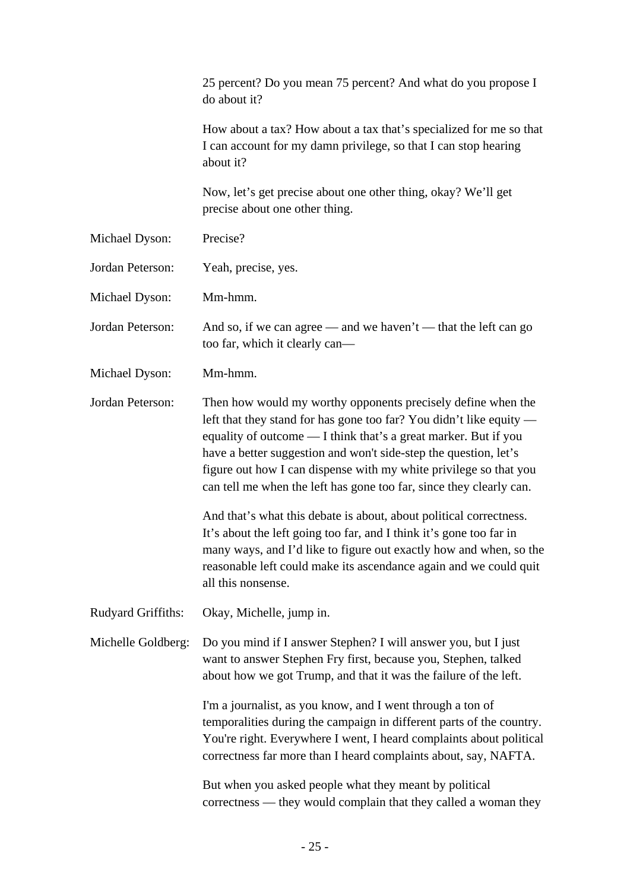|                    | 25 percent? Do you mean 75 percent? And what do you propose I<br>do about it?                                                                                                                                                                                                                                                                                                                                          |
|--------------------|------------------------------------------------------------------------------------------------------------------------------------------------------------------------------------------------------------------------------------------------------------------------------------------------------------------------------------------------------------------------------------------------------------------------|
|                    | How about a tax? How about a tax that's specialized for me so that<br>I can account for my damn privilege, so that I can stop hearing<br>about it?                                                                                                                                                                                                                                                                     |
|                    | Now, let's get precise about one other thing, okay? We'll get<br>precise about one other thing.                                                                                                                                                                                                                                                                                                                        |
| Michael Dyson:     | Precise?                                                                                                                                                                                                                                                                                                                                                                                                               |
| Jordan Peterson:   | Yeah, precise, yes.                                                                                                                                                                                                                                                                                                                                                                                                    |
| Michael Dyson:     | Mm-hmm.                                                                                                                                                                                                                                                                                                                                                                                                                |
| Jordan Peterson:   | And so, if we can agree — and we haven't — that the left can go<br>too far, which it clearly can—                                                                                                                                                                                                                                                                                                                      |
| Michael Dyson:     | Mm-hmm.                                                                                                                                                                                                                                                                                                                                                                                                                |
| Jordan Peterson:   | Then how would my worthy opponents precisely define when the<br>left that they stand for has gone too far? You didn't like equity —<br>equality of outcome — I think that's a great marker. But if you<br>have a better suggestion and won't side-step the question, let's<br>figure out how I can dispense with my white privilege so that you<br>can tell me when the left has gone too far, since they clearly can. |
|                    | And that's what this debate is about, about political correctness.<br>It's about the left going too far, and I think it's gone too far in<br>many ways, and I'd like to figure out exactly how and when, so the<br>reasonable left could make its ascendance again and we could quit<br>all this nonsense.                                                                                                             |
| Rudyard Griffiths: | Okay, Michelle, jump in.                                                                                                                                                                                                                                                                                                                                                                                               |
| Michelle Goldberg: | Do you mind if I answer Stephen? I will answer you, but I just<br>want to answer Stephen Fry first, because you, Stephen, talked<br>about how we got Trump, and that it was the failure of the left.                                                                                                                                                                                                                   |
|                    | I'm a journalist, as you know, and I went through a ton of<br>temporalities during the campaign in different parts of the country.<br>You're right. Everywhere I went, I heard complaints about political<br>correctness far more than I heard complaints about, say, NAFTA.                                                                                                                                           |
|                    | But when you asked people what they meant by political<br>correctness — they would complain that they called a woman they                                                                                                                                                                                                                                                                                              |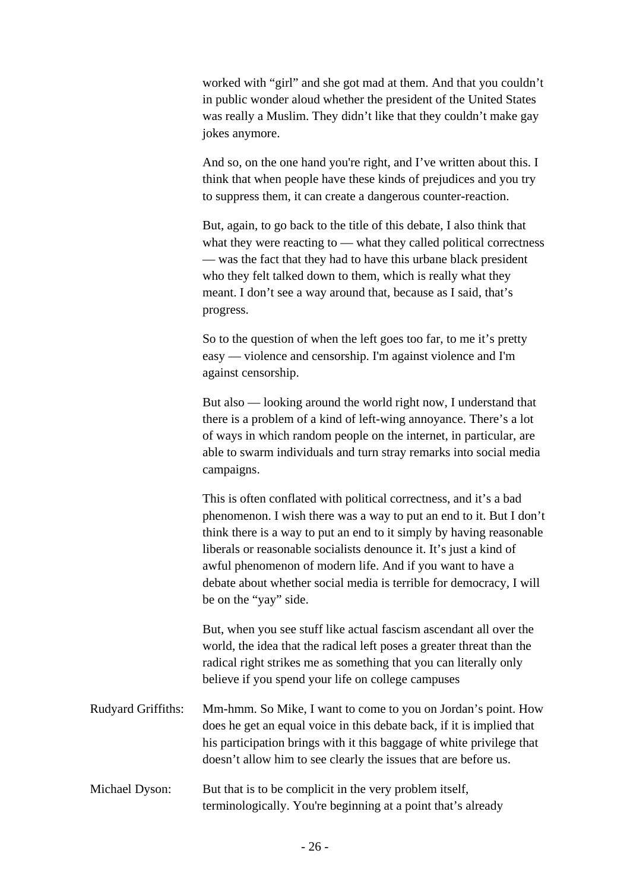worked with "girl" and she got mad at them. And that you couldn't in public wonder aloud whether the president of the United States was really a Muslim. They didn't like that they couldn't make gay jokes anymore.

And so, on the one hand you're right, and I've written about this. I think that when people have these kinds of prejudices and you try to suppress them, it can create a dangerous counter-reaction.

But, again, to go back to the title of this debate, I also think that what they were reacting to — what they called political correctness — was the fact that they had to have this urbane black president who they felt talked down to them, which is really what they meant. I don't see a way around that, because as I said, that's progress.

So to the question of when the left goes too far, to me it's pretty easy — violence and censorship. I'm against violence and I'm against censorship.

But also — looking around the world right now, I understand that there is a problem of a kind of left-wing annoyance. There's a lot of ways in which random people on the internet, in particular, are able to swarm individuals and turn stray remarks into social media campaigns.

This is often conflated with political correctness, and it's a bad phenomenon. I wish there was a way to put an end to it. But I don't think there is a way to put an end to it simply by having reasonable liberals or reasonable socialists denounce it. It's just a kind of awful phenomenon of modern life. And if you want to have a debate about whether social media is terrible for democracy, I will be on the "yay" side.

But, when you see stuff like actual fascism ascendant all over the world, the idea that the radical left poses a greater threat than the radical right strikes me as something that you can literally only believe if you spend your life on college campuses

- Rudyard Griffiths: Mm-hmm. So Mike, I want to come to you on Jordan's point. How does he get an equal voice in this debate back, if it is implied that his participation brings with it this baggage of white privilege that doesn't allow him to see clearly the issues that are before us.
- Michael Dyson: But that is to be complicit in the very problem itself, terminologically. You're beginning at a point that's already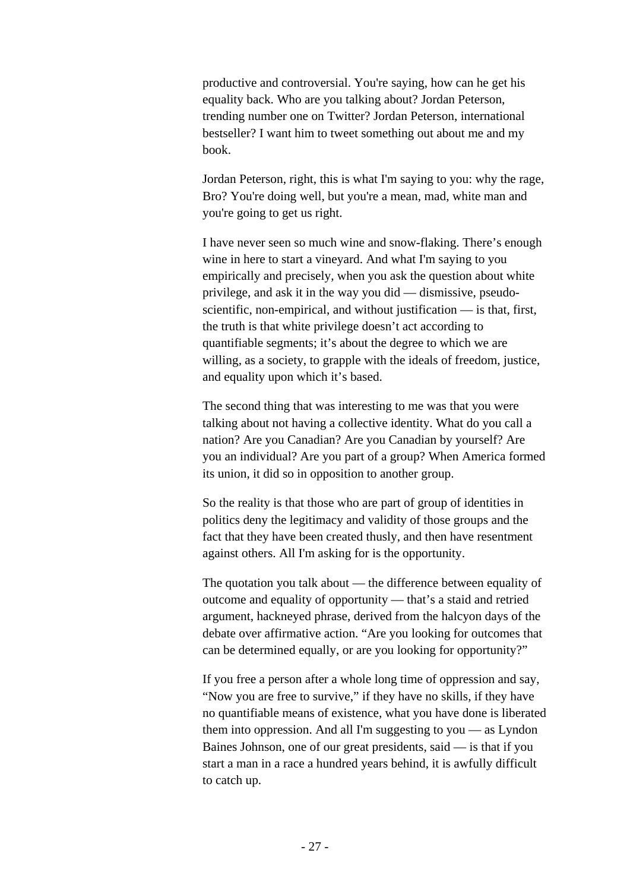productive and controversial. You're saying, how can he get his equality back. Who are you talking about? Jordan Peterson, trending number one on Twitter? Jordan Peterson, international bestseller? I want him to tweet something out about me and my book.

Jordan Peterson, right, this is what I'm saying to you: why the rage, Bro? You're doing well, but you're a mean, mad, white man and you're going to get us right.

I have never seen so much wine and snow-flaking. There's enough wine in here to start a vineyard. And what I'm saying to you empirically and precisely, when you ask the question about white privilege, and ask it in the way you did — dismissive, pseudoscientific, non-empirical, and without justification — is that, first, the truth is that white privilege doesn't act according to quantifiable segments; it's about the degree to which we are willing, as a society, to grapple with the ideals of freedom, justice, and equality upon which it's based.

The second thing that was interesting to me was that you were talking about not having a collective identity. What do you call a nation? Are you Canadian? Are you Canadian by yourself? Are you an individual? Are you part of a group? When America formed its union, it did so in opposition to another group.

So the reality is that those who are part of group of identities in politics deny the legitimacy and validity of those groups and the fact that they have been created thusly, and then have resentment against others. All I'm asking for is the opportunity.

The quotation you talk about — the difference between equality of outcome and equality of opportunity — that's a staid and retried argument, hackneyed phrase, derived from the halcyon days of the debate over affirmative action. "Are you looking for outcomes that can be determined equally, or are you looking for opportunity?"

If you free a person after a whole long time of oppression and say, "Now you are free to survive," if they have no skills, if they have no quantifiable means of existence, what you have done is liberated them into oppression. And all I'm suggesting to you — as Lyndon Baines Johnson, one of our great presidents, said — is that if you start a man in a race a hundred years behind, it is awfully difficult to catch up.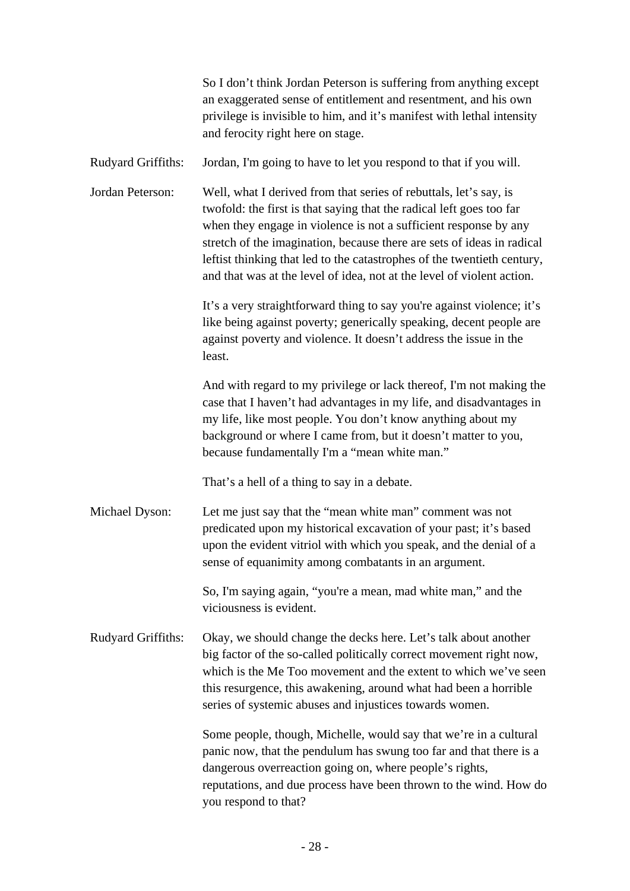|                    | So I don't think Jordan Peterson is suffering from anything except<br>an exaggerated sense of entitlement and resentment, and his own<br>privilege is invisible to him, and it's manifest with lethal intensity<br>and ferocity right here on stage.                                                                                                                                                                                         |
|--------------------|----------------------------------------------------------------------------------------------------------------------------------------------------------------------------------------------------------------------------------------------------------------------------------------------------------------------------------------------------------------------------------------------------------------------------------------------|
| Rudyard Griffiths: | Jordan, I'm going to have to let you respond to that if you will.                                                                                                                                                                                                                                                                                                                                                                            |
| Jordan Peterson:   | Well, what I derived from that series of rebuttals, let's say, is<br>twofold: the first is that saying that the radical left goes too far<br>when they engage in violence is not a sufficient response by any<br>stretch of the imagination, because there are sets of ideas in radical<br>leftist thinking that led to the catastrophes of the twentieth century,<br>and that was at the level of idea, not at the level of violent action. |
|                    | It's a very straightforward thing to say you're against violence; it's<br>like being against poverty; generically speaking, decent people are<br>against poverty and violence. It doesn't address the issue in the<br>least.                                                                                                                                                                                                                 |
|                    | And with regard to my privilege or lack thereof, I'm not making the<br>case that I haven't had advantages in my life, and disadvantages in<br>my life, like most people. You don't know anything about my<br>background or where I came from, but it doesn't matter to you,<br>because fundamentally I'm a "mean white man."                                                                                                                 |
|                    | That's a hell of a thing to say in a debate.                                                                                                                                                                                                                                                                                                                                                                                                 |
| Michael Dyson:     | Let me just say that the "mean white man" comment was not<br>predicated upon my historical excavation of your past; it's based<br>upon the evident vitriol with which you speak, and the denial of a<br>sense of equanimity among combatants in an argument.                                                                                                                                                                                 |
|                    | So, I'm saying again, "you're a mean, mad white man," and the<br>viciousness is evident.                                                                                                                                                                                                                                                                                                                                                     |
| Rudyard Griffiths: | Okay, we should change the decks here. Let's talk about another<br>big factor of the so-called politically correct movement right now,<br>which is the Me Too movement and the extent to which we've seen<br>this resurgence, this awakening, around what had been a horrible<br>series of systemic abuses and injustices towards women.                                                                                                     |
|                    | Some people, though, Michelle, would say that we're in a cultural<br>panic now, that the pendulum has swung too far and that there is a<br>dangerous overreaction going on, where people's rights,<br>reputations, and due process have been thrown to the wind. How do<br>you respond to that?                                                                                                                                              |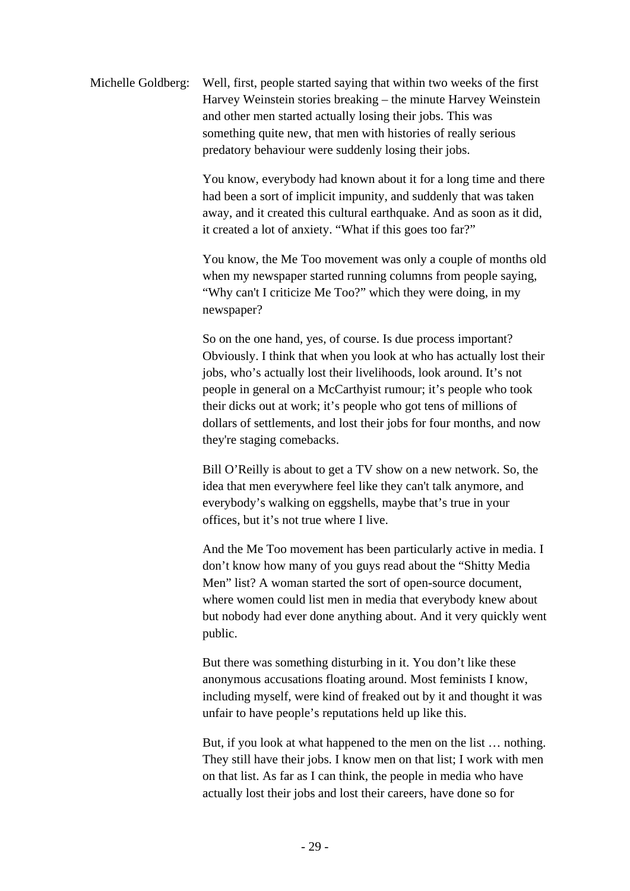Michelle Goldberg: Well, first, people started saying that within two weeks of the first Harvey Weinstein stories breaking – the minute Harvey Weinstein and other men started actually losing their jobs. This was something quite new, that men with histories of really serious predatory behaviour were suddenly losing their jobs.

> You know, everybody had known about it for a long time and there had been a sort of implicit impunity, and suddenly that was taken away, and it created this cultural earthquake. And as soon as it did, it created a lot of anxiety. "What if this goes too far?"

> You know, the Me Too movement was only a couple of months old when my newspaper started running columns from people saying, "Why can't I criticize Me Too?" which they were doing, in my newspaper?

> So on the one hand, yes, of course. Is due process important? Obviously. I think that when you look at who has actually lost their jobs, who's actually lost their livelihoods, look around. It's not people in general on a McCarthyist rumour; it's people who took their dicks out at work; it's people who got tens of millions of dollars of settlements, and lost their jobs for four months, and now they're staging comebacks.

Bill O'Reilly is about to get a TV show on a new network. So, the idea that men everywhere feel like they can't talk anymore, and everybody's walking on eggshells, maybe that's true in your offices, but it's not true where I live.

And the Me Too movement has been particularly active in media. I don't know how many of you guys read about the "Shitty Media Men" list? A woman started the sort of open-source document, where women could list men in media that everybody knew about but nobody had ever done anything about. And it very quickly went public.

But there was something disturbing in it. You don't like these anonymous accusations floating around. Most feminists I know, including myself, were kind of freaked out by it and thought it was unfair to have people's reputations held up like this.

But, if you look at what happened to the men on the list … nothing. They still have their jobs. I know men on that list; I work with men on that list. As far as I can think, the people in media who have actually lost their jobs and lost their careers, have done so for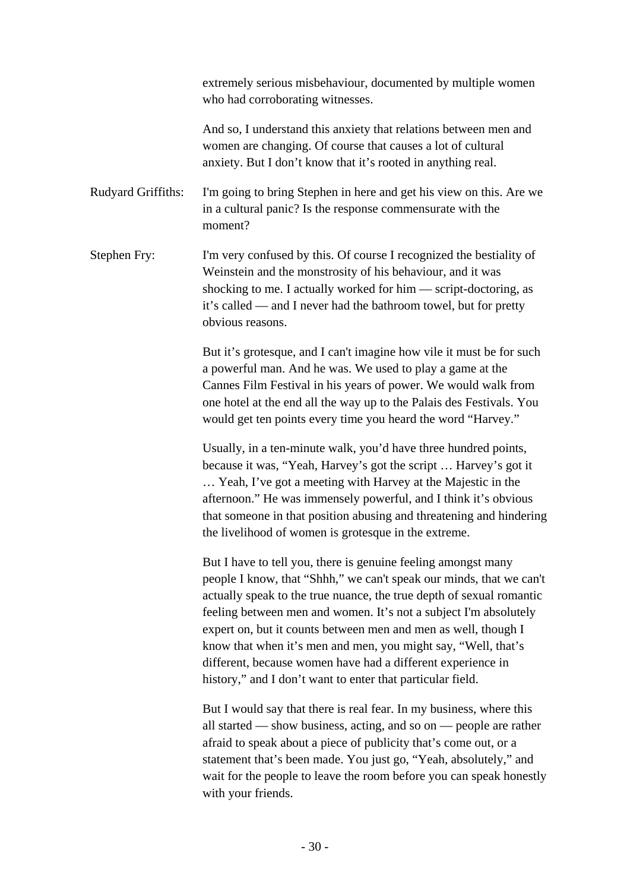extremely serious misbehaviour, documented by multiple women who had corroborating witnesses.

And so, I understand this anxiety that relations between men and women are changing. Of course that causes a lot of cultural anxiety. But I don't know that it's rooted in anything real.

Rudyard Griffiths: I'm going to bring Stephen in here and get his view on this. Are we in a cultural panic? Is the response commensurate with the moment?

Stephen Fry: I'm very confused by this. Of course I recognized the bestiality of Weinstein and the monstrosity of his behaviour, and it was shocking to me. I actually worked for him — script-doctoring, as it's called — and I never had the bathroom towel, but for pretty obvious reasons.

> But it's grotesque, and I can't imagine how vile it must be for such a powerful man. And he was. We used to play a game at the Cannes Film Festival in his years of power. We would walk from one hotel at the end all the way up to the Palais des Festivals. You would get ten points every time you heard the word "Harvey."

Usually, in a ten-minute walk, you'd have three hundred points, because it was, "Yeah, Harvey's got the script … Harvey's got it … Yeah, I've got a meeting with Harvey at the Majestic in the afternoon." He was immensely powerful, and I think it's obvious that someone in that position abusing and threatening and hindering the livelihood of women is grotesque in the extreme.

But I have to tell you, there is genuine feeling amongst many people I know, that "Shhh," we can't speak our minds, that we can't actually speak to the true nuance, the true depth of sexual romantic feeling between men and women. It's not a subject I'm absolutely expert on, but it counts between men and men as well, though I know that when it's men and men, you might say, "Well, that's different, because women have had a different experience in history," and I don't want to enter that particular field.

But I would say that there is real fear. In my business, where this all started — show business, acting, and so on — people are rather afraid to speak about a piece of publicity that's come out, or a statement that's been made. You just go, "Yeah, absolutely," and wait for the people to leave the room before you can speak honestly with your friends.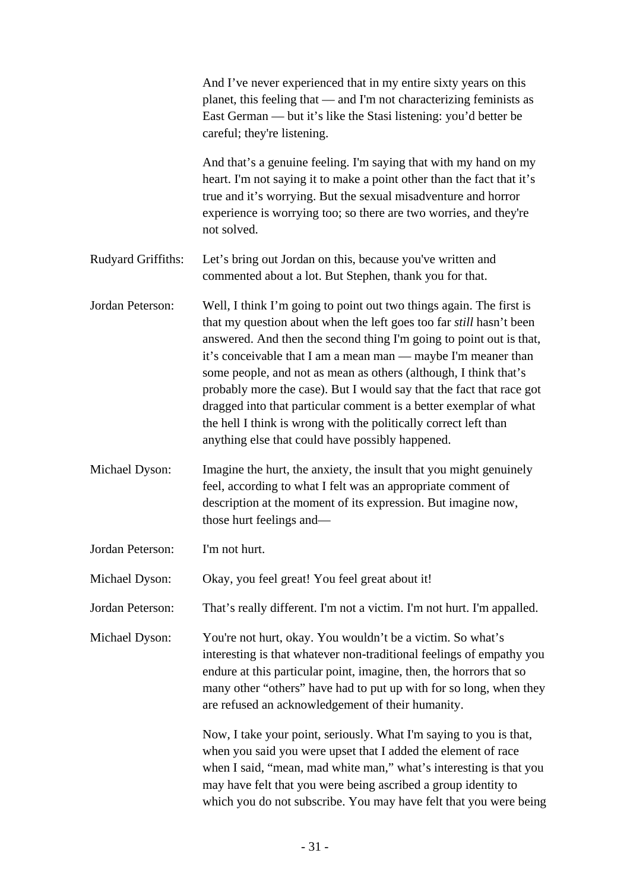|                    | And I've never experienced that in my entire sixty years on this<br>planet, this feeling that — and I'm not characterizing feminists as<br>East German — but it's like the Stasi listening: you'd better be<br>careful; they're listening.                                                                                                                                                                                                                                                                                                                                                                                         |
|--------------------|------------------------------------------------------------------------------------------------------------------------------------------------------------------------------------------------------------------------------------------------------------------------------------------------------------------------------------------------------------------------------------------------------------------------------------------------------------------------------------------------------------------------------------------------------------------------------------------------------------------------------------|
|                    | And that's a genuine feeling. I'm saying that with my hand on my<br>heart. I'm not saying it to make a point other than the fact that it's<br>true and it's worrying. But the sexual misadventure and horror<br>experience is worrying too; so there are two worries, and they're<br>not solved.                                                                                                                                                                                                                                                                                                                                   |
| Rudyard Griffiths: | Let's bring out Jordan on this, because you've written and<br>commented about a lot. But Stephen, thank you for that.                                                                                                                                                                                                                                                                                                                                                                                                                                                                                                              |
| Jordan Peterson:   | Well, I think I'm going to point out two things again. The first is<br>that my question about when the left goes too far <i>still</i> hasn't been<br>answered. And then the second thing I'm going to point out is that,<br>it's conceivable that I am a mean man — maybe I'm meaner than<br>some people, and not as mean as others (although, I think that's<br>probably more the case). But I would say that the fact that race got<br>dragged into that particular comment is a better exemplar of what<br>the hell I think is wrong with the politically correct left than<br>anything else that could have possibly happened. |
| Michael Dyson:     | Imagine the hurt, the anxiety, the insult that you might genuinely<br>feel, according to what I felt was an appropriate comment of<br>description at the moment of its expression. But imagine now,<br>those hurt feelings and-                                                                                                                                                                                                                                                                                                                                                                                                    |
| Jordan Peterson:   | I'm not hurt.                                                                                                                                                                                                                                                                                                                                                                                                                                                                                                                                                                                                                      |
| Michael Dyson:     | Okay, you feel great! You feel great about it!                                                                                                                                                                                                                                                                                                                                                                                                                                                                                                                                                                                     |
| Jordan Peterson:   | That's really different. I'm not a victim. I'm not hurt. I'm appalled.                                                                                                                                                                                                                                                                                                                                                                                                                                                                                                                                                             |
| Michael Dyson:     | You're not hurt, okay. You wouldn't be a victim. So what's<br>interesting is that whatever non-traditional feelings of empathy you<br>endure at this particular point, imagine, then, the horrors that so<br>many other "others" have had to put up with for so long, when they<br>are refused an acknowledgement of their humanity.                                                                                                                                                                                                                                                                                               |
|                    | Now, I take your point, seriously. What I'm saying to you is that,<br>when you said you were upset that I added the element of race<br>when I said, "mean, mad white man," what's interesting is that you<br>may have felt that you were being ascribed a group identity to<br>which you do not subscribe. You may have felt that you were being                                                                                                                                                                                                                                                                                   |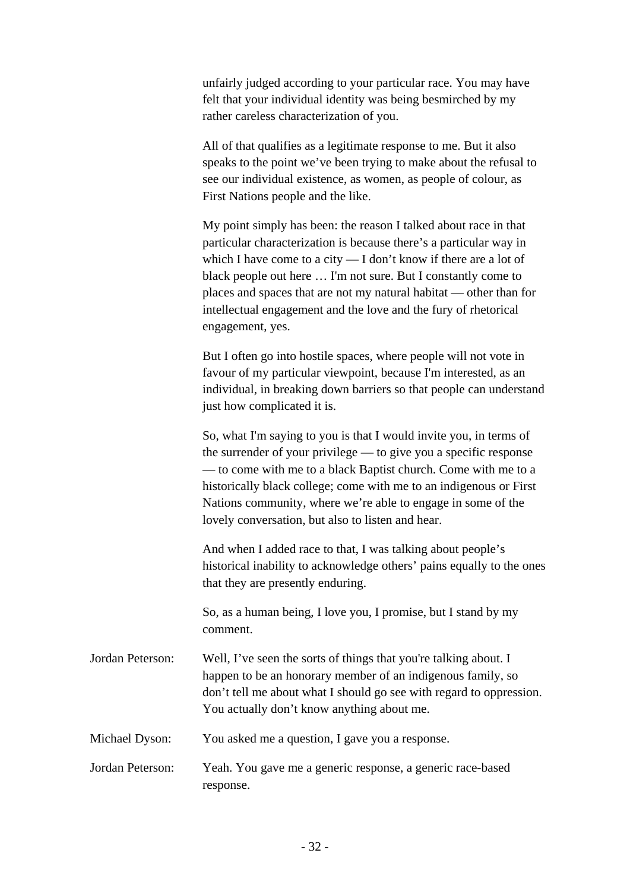unfairly judged according to your particular race. You may have felt that your individual identity was being besmirched by my rather careless characterization of you.

All of that qualifies as a legitimate response to me. But it also speaks to the point we've been trying to make about the refusal to see our individual existence, as women, as people of colour, as First Nations people and the like.

My point simply has been: the reason I talked about race in that particular characterization is because there's a particular way in which I have come to a city — I don't know if there are a lot of black people out here … I'm not sure. But I constantly come to places and spaces that are not my natural habitat — other than for intellectual engagement and the love and the fury of rhetorical engagement, yes.

But I often go into hostile spaces, where people will not vote in favour of my particular viewpoint, because I'm interested, as an individual, in breaking down barriers so that people can understand just how complicated it is.

So, what I'm saying to you is that I would invite you, in terms of the surrender of your privilege — to give you a specific response — to come with me to a black Baptist church. Come with me to a historically black college; come with me to an indigenous or First Nations community, where we're able to engage in some of the lovely conversation, but also to listen and hear.

And when I added race to that, I was talking about people's historical inability to acknowledge others' pains equally to the ones that they are presently enduring.

So, as a human being, I love you, I promise, but I stand by my comment.

Jordan Peterson: Well, I've seen the sorts of things that you're talking about. I happen to be an honorary member of an indigenous family, so don't tell me about what I should go see with regard to oppression. You actually don't know anything about me.

Michael Dyson: You asked me a question, I gave you a response.

Jordan Peterson: Yeah. You gave me a generic response, a generic race-based response.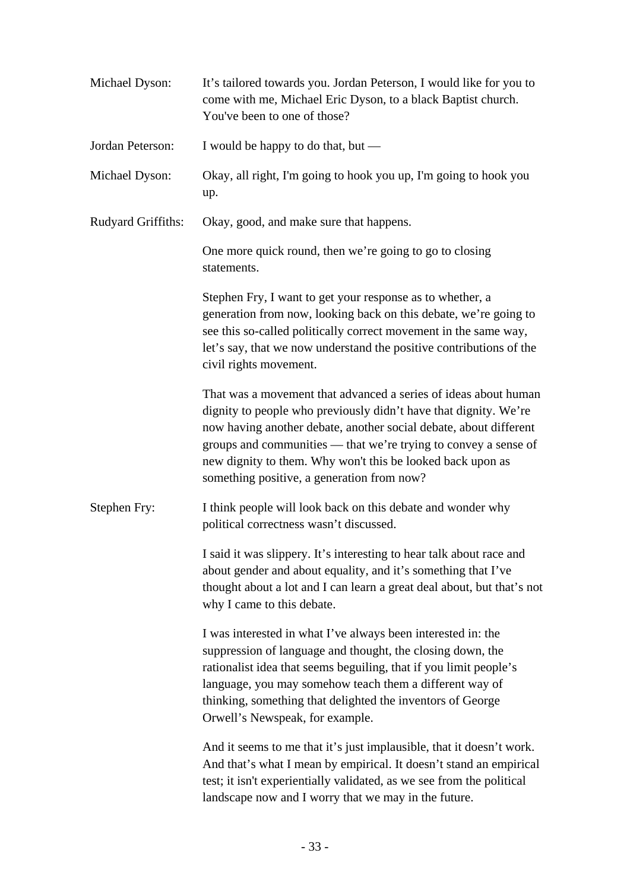| Michael Dyson:     | It's tailored towards you. Jordan Peterson, I would like for you to<br>come with me, Michael Eric Dyson, to a black Baptist church.<br>You've been to one of those?                                                                                                                                                                                                                     |
|--------------------|-----------------------------------------------------------------------------------------------------------------------------------------------------------------------------------------------------------------------------------------------------------------------------------------------------------------------------------------------------------------------------------------|
| Jordan Peterson:   | I would be happy to do that, but —                                                                                                                                                                                                                                                                                                                                                      |
| Michael Dyson:     | Okay, all right, I'm going to hook you up, I'm going to hook you<br>up.                                                                                                                                                                                                                                                                                                                 |
| Rudyard Griffiths: | Okay, good, and make sure that happens.                                                                                                                                                                                                                                                                                                                                                 |
|                    | One more quick round, then we're going to go to closing<br>statements.                                                                                                                                                                                                                                                                                                                  |
|                    | Stephen Fry, I want to get your response as to whether, a<br>generation from now, looking back on this debate, we're going to<br>see this so-called politically correct movement in the same way,<br>let's say, that we now understand the positive contributions of the<br>civil rights movement.                                                                                      |
|                    | That was a movement that advanced a series of ideas about human<br>dignity to people who previously didn't have that dignity. We're<br>now having another debate, another social debate, about different<br>groups and communities — that we're trying to convey a sense of<br>new dignity to them. Why won't this be looked back upon as<br>something positive, a generation from now? |
| Stephen Fry:       | I think people will look back on this debate and wonder why<br>political correctness wasn't discussed.                                                                                                                                                                                                                                                                                  |
|                    | I said it was slippery. It's interesting to hear talk about race and<br>about gender and about equality, and it's something that I've<br>thought about a lot and I can learn a great deal about, but that's not<br>why I came to this debate.                                                                                                                                           |
|                    | I was interested in what I've always been interested in: the<br>suppression of language and thought, the closing down, the<br>rationalist idea that seems beguiling, that if you limit people's<br>language, you may somehow teach them a different way of<br>thinking, something that delighted the inventors of George<br>Orwell's Newspeak, for example.                             |
|                    | And it seems to me that it's just implausible, that it doesn't work.<br>And that's what I mean by empirical. It doesn't stand an empirical<br>test; it isn't experientially validated, as we see from the political<br>landscape now and I worry that we may in the future.                                                                                                             |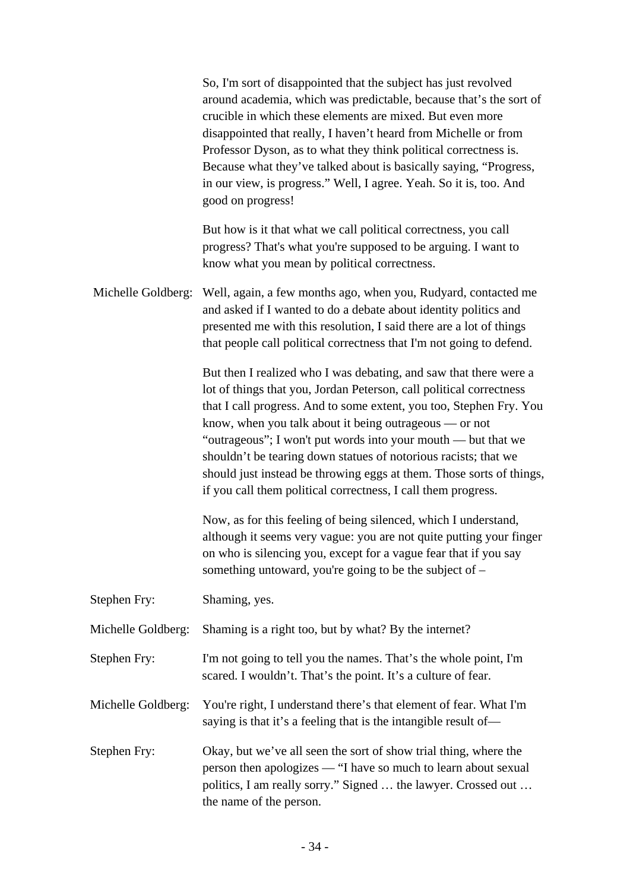|                    | So, I'm sort of disappointed that the subject has just revolved<br>around academia, which was predictable, because that's the sort of<br>crucible in which these elements are mixed. But even more<br>disappointed that really, I haven't heard from Michelle or from<br>Professor Dyson, as to what they think political correctness is.<br>Because what they've talked about is basically saying, "Progress,<br>in our view, is progress." Well, I agree. Yeah. So it is, too. And<br>good on progress!<br>But how is it that what we call political correctness, you call |
|--------------------|------------------------------------------------------------------------------------------------------------------------------------------------------------------------------------------------------------------------------------------------------------------------------------------------------------------------------------------------------------------------------------------------------------------------------------------------------------------------------------------------------------------------------------------------------------------------------|
|                    | progress? That's what you're supposed to be arguing. I want to<br>know what you mean by political correctness.                                                                                                                                                                                                                                                                                                                                                                                                                                                               |
| Michelle Goldberg: | Well, again, a few months ago, when you, Rudyard, contacted me<br>and asked if I wanted to do a debate about identity politics and<br>presented me with this resolution, I said there are a lot of things<br>that people call political correctness that I'm not going to defend.                                                                                                                                                                                                                                                                                            |
|                    | But then I realized who I was debating, and saw that there were a<br>lot of things that you, Jordan Peterson, call political correctness<br>that I call progress. And to some extent, you too, Stephen Fry. You<br>know, when you talk about it being outrageous $\sim$ or not<br>"outrageous"; I won't put words into your mouth — but that we<br>shouldn't be tearing down statues of notorious racists; that we<br>should just instead be throwing eggs at them. Those sorts of things,<br>if you call them political correctness, I call them progress.                  |
|                    | Now, as for this feeling of being silenced, which I understand,<br>although it seems very vague: you are not quite putting your finger<br>on who is silencing you, except for a vague fear that if you say<br>something untoward, you're going to be the subject of $-$                                                                                                                                                                                                                                                                                                      |
| Stephen Fry:       | Shaming, yes.                                                                                                                                                                                                                                                                                                                                                                                                                                                                                                                                                                |
| Michelle Goldberg: | Shaming is a right too, but by what? By the internet?                                                                                                                                                                                                                                                                                                                                                                                                                                                                                                                        |
| Stephen Fry:       | I'm not going to tell you the names. That's the whole point, I'm<br>scared. I wouldn't. That's the point. It's a culture of fear.                                                                                                                                                                                                                                                                                                                                                                                                                                            |
| Michelle Goldberg: | You're right, I understand there's that element of fear. What I'm<br>saying is that it's a feeling that is the intangible result of—                                                                                                                                                                                                                                                                                                                                                                                                                                         |
| Stephen Fry:       | Okay, but we've all seen the sort of show trial thing, where the<br>person then apologizes — "I have so much to learn about sexual<br>politics, I am really sorry." Signed  the lawyer. Crossed out<br>the name of the person.                                                                                                                                                                                                                                                                                                                                               |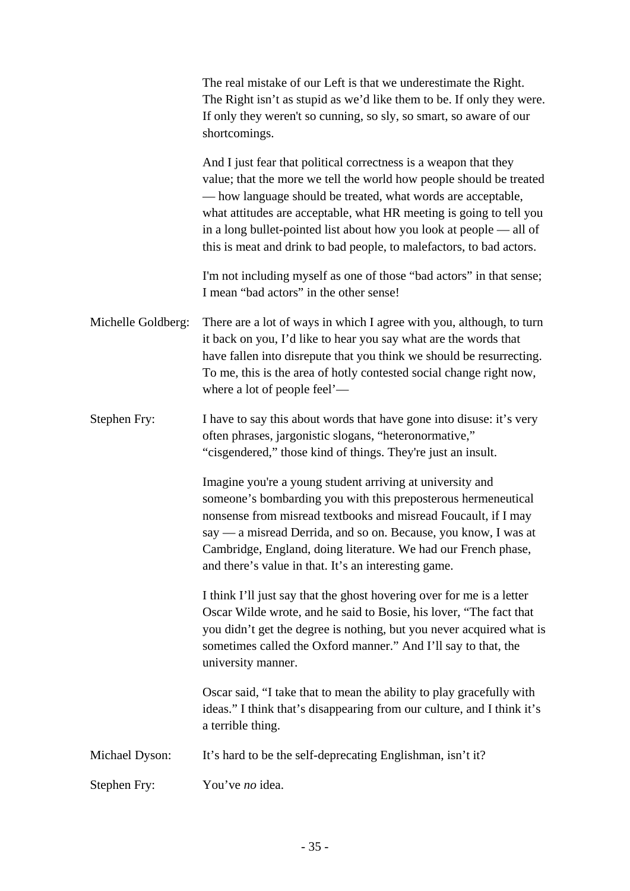|                    | The real mistake of our Left is that we underestimate the Right.<br>The Right isn't as stupid as we'd like them to be. If only they were.<br>If only they weren't so cunning, so sly, so smart, so aware of our<br>shortcomings.                                                                                                                                                                                              |
|--------------------|-------------------------------------------------------------------------------------------------------------------------------------------------------------------------------------------------------------------------------------------------------------------------------------------------------------------------------------------------------------------------------------------------------------------------------|
|                    | And I just fear that political correctness is a weapon that they<br>value; that the more we tell the world how people should be treated<br>— how language should be treated, what words are acceptable,<br>what attitudes are acceptable, what HR meeting is going to tell you<br>in a long bullet-pointed list about how you look at people — all of<br>this is meat and drink to bad people, to malefactors, to bad actors. |
|                    | I'm not including myself as one of those "bad actors" in that sense;<br>I mean "bad actors" in the other sense!                                                                                                                                                                                                                                                                                                               |
| Michelle Goldberg: | There are a lot of ways in which I agree with you, although, to turn<br>it back on you, I'd like to hear you say what are the words that<br>have fallen into disrepute that you think we should be resurrecting.<br>To me, this is the area of hotly contested social change right now,<br>where a lot of people feel'—                                                                                                       |
| Stephen Fry:       | I have to say this about words that have gone into disuse: it's very<br>often phrases, jargonistic slogans, "heteronormative,"<br>"cisgendered," those kind of things. They're just an insult.                                                                                                                                                                                                                                |
|                    | Imagine you're a young student arriving at university and<br>someone's bombarding you with this preposterous hermeneutical<br>nonsense from misread textbooks and misread Foucault, if I may<br>say — a misread Derrida, and so on. Because, you know, I was at<br>Cambridge, England, doing literature. We had our French phase,<br>and there's value in that. It's an interesting game.                                     |
|                    | I think I'll just say that the ghost hovering over for me is a letter<br>Oscar Wilde wrote, and he said to Bosie, his lover, "The fact that<br>you didn't get the degree is nothing, but you never acquired what is<br>sometimes called the Oxford manner." And I'll say to that, the<br>university manner.                                                                                                                   |
|                    | Oscar said, "I take that to mean the ability to play gracefully with<br>ideas." I think that's disappearing from our culture, and I think it's<br>a terrible thing.                                                                                                                                                                                                                                                           |
| Michael Dyson:     | It's hard to be the self-deprecating Englishman, isn't it?                                                                                                                                                                                                                                                                                                                                                                    |
| Stephen Fry:       | You've no idea.                                                                                                                                                                                                                                                                                                                                                                                                               |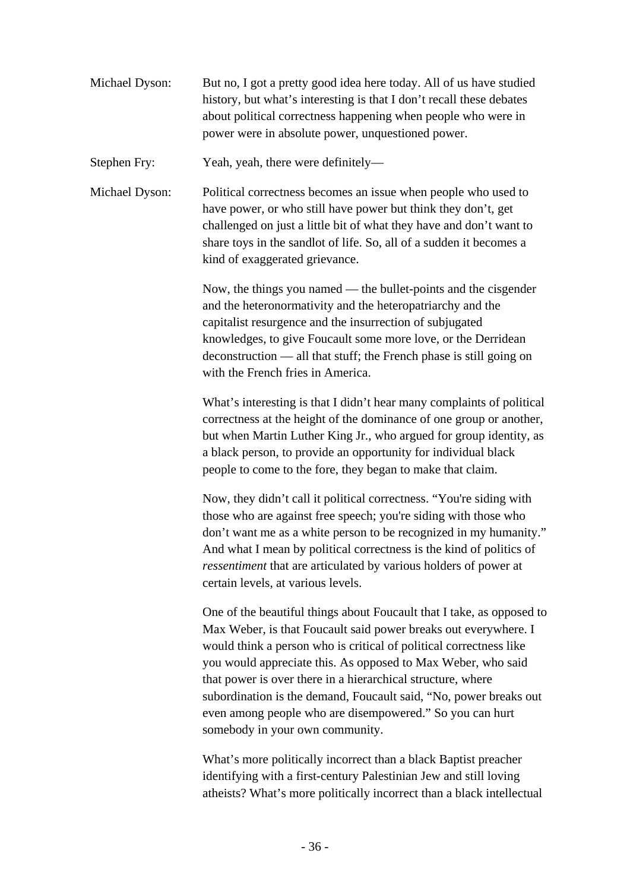| Michael Dyson: | But no, I got a pretty good idea here today. All of us have studied  |
|----------------|----------------------------------------------------------------------|
|                | history, but what's interesting is that I don't recall these debates |
|                | about political correctness happening when people who were in        |
|                | power were in absolute power, unquestioned power.                    |

Stephen Fry: Yeah, yeah, there were definitely—

Michael Dyson: Political correctness becomes an issue when people who used to have power, or who still have power but think they don't, get challenged on just a little bit of what they have and don't want to share toys in the sandlot of life. So, all of a sudden it becomes a kind of exaggerated grievance.

> Now, the things you named — the bullet-points and the cisgender and the heteronormativity and the heteropatriarchy and the capitalist resurgence and the insurrection of subjugated knowledges, to give Foucault some more love, or the Derridean deconstruction — all that stuff; the French phase is still going on with the French fries in America.

What's interesting is that I didn't hear many complaints of political correctness at the height of the dominance of one group or another, but when Martin Luther King Jr., who argued for group identity, as a black person, to provide an opportunity for individual black people to come to the fore, they began to make that claim.

Now, they didn't call it political correctness. "You're siding with those who are against free speech; you're siding with those who don't want me as a white person to be recognized in my humanity." And what I mean by political correctness is the kind of politics of *ressentiment* that are articulated by various holders of power at certain levels, at various levels.

One of the beautiful things about Foucault that I take, as opposed to Max Weber, is that Foucault said power breaks out everywhere. I would think a person who is critical of political correctness like you would appreciate this. As opposed to Max Weber, who said that power is over there in a hierarchical structure, where subordination is the demand, Foucault said, "No, power breaks out even among people who are disempowered." So you can hurt somebody in your own community.

What's more politically incorrect than a black Baptist preacher identifying with a first-century Palestinian Jew and still loving atheists? What's more politically incorrect than a black intellectual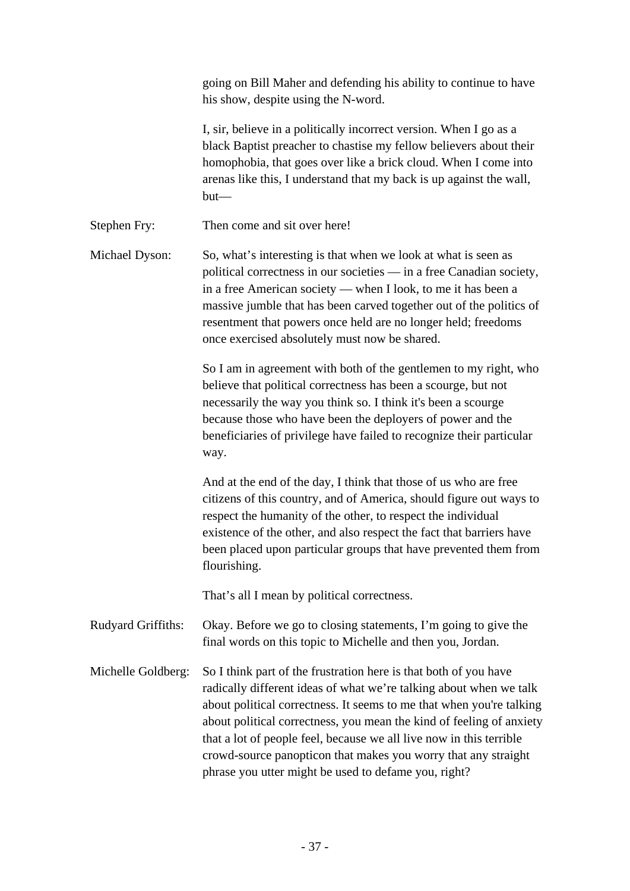going on Bill Maher and defending his ability to continue to have his show, despite using the N-word.

I, sir, believe in a politically incorrect version. When I go as a black Baptist preacher to chastise my fellow believers about their homophobia, that goes over like a brick cloud. When I come into arenas like this, I understand that my back is up against the wall, but—

- Stephen Fry: Then come and sit over here!
- Michael Dyson: So, what's interesting is that when we look at what is seen as political correctness in our societies — in a free Canadian society, in a free American society — when I look, to me it has been a massive jumble that has been carved together out of the politics of resentment that powers once held are no longer held; freedoms once exercised absolutely must now be shared.

So I am in agreement with both of the gentlemen to my right, who believe that political correctness has been a scourge, but not necessarily the way you think so. I think it's been a scourge because those who have been the deployers of power and the beneficiaries of privilege have failed to recognize their particular way.

And at the end of the day, I think that those of us who are free citizens of this country, and of America, should figure out ways to respect the humanity of the other, to respect the individual existence of the other, and also respect the fact that barriers have been placed upon particular groups that have prevented them from flourishing.

That's all I mean by political correctness.

Rudyard Griffiths: Okay. Before we go to closing statements, I'm going to give the final words on this topic to Michelle and then you, Jordan.

Michelle Goldberg: So I think part of the frustration here is that both of you have radically different ideas of what we're talking about when we talk about political correctness. It seems to me that when you're talking about political correctness, you mean the kind of feeling of anxiety that a lot of people feel, because we all live now in this terrible crowd-source panopticon that makes you worry that any straight phrase you utter might be used to defame you, right?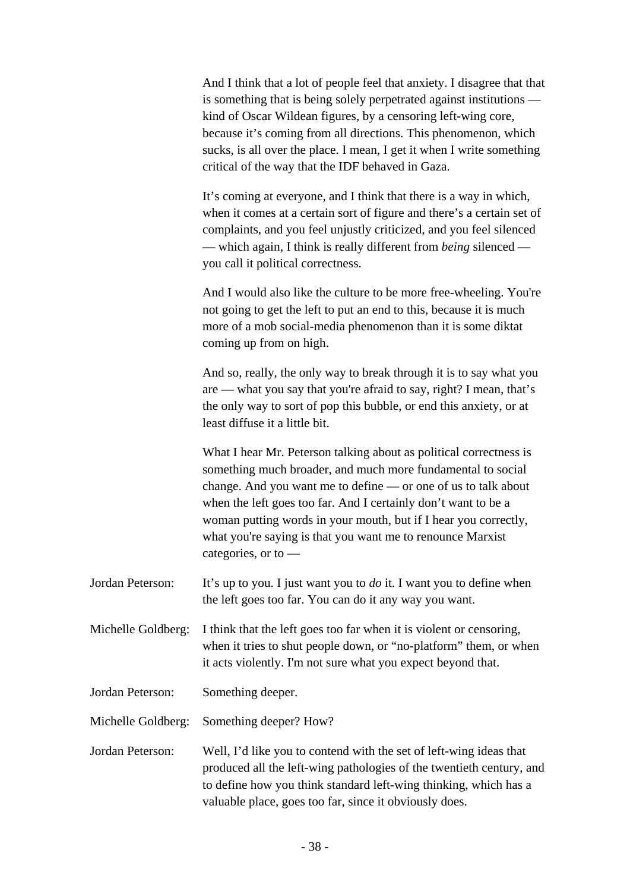And I think that a lot of people feel that anxiety. I disagree that that is something that is being solely perpetrated against institutions kind of Oscar Wildean figures, by a censoring left-wing core, because it's coming from all directions. This phenomenon, which sucks, is all over the place. I mean, I get it when I write something critical of the way that the IDF behaved in Gaza.

It's coming at everyone, and I think that there is a way in which, when it comes at a certain sort of figure and there's a certain set of complaints, and you feel unjustly criticized, and you feel silenced — which again, I think is really different from *being* silenced you call it political correctness.

And I would also like the culture to be more free-wheeling. You're not going to get the left to put an end to this, because it is much more of a mob social-media phenomenon than it is some diktat coming up from on high.

And so, really, the only way to break through it is to say what you are — what you say that you're afraid to say, right? I mean, that's the only way to sort of pop this bubble, or end this anxiety, or at least diffuse it a little bit.

What I hear Mr. Peterson talking about as political correctness is something much broader, and much more fundamental to social change. And you want me to define — or one of us to talk about when the left goes too far. And I certainly don't want to be a woman putting words in your mouth, but if I hear you correctly, what you're saying is that you want me to renounce Marxist categories, or to  $-$ 

Jordan Peterson: It's up to you. I just want you to *do* it. I want you to define when the left goes too far. You can do it any way you want.

Michelle Goldberg: I think that the left goes too far when it is violent or censoring, when it tries to shut people down, or "no-platform" them, or when it acts violently. I'm not sure what you expect beyond that.

Jordan Peterson: Something deeper.

Michelle Goldberg: Something deeper? How?

Jordan Peterson: Well, I'd like you to contend with the set of left-wing ideas that produced all the left-wing pathologies of the twentieth century, and to define how you think standard left-wing thinking, which has a valuable place, goes too far, since it obviously does.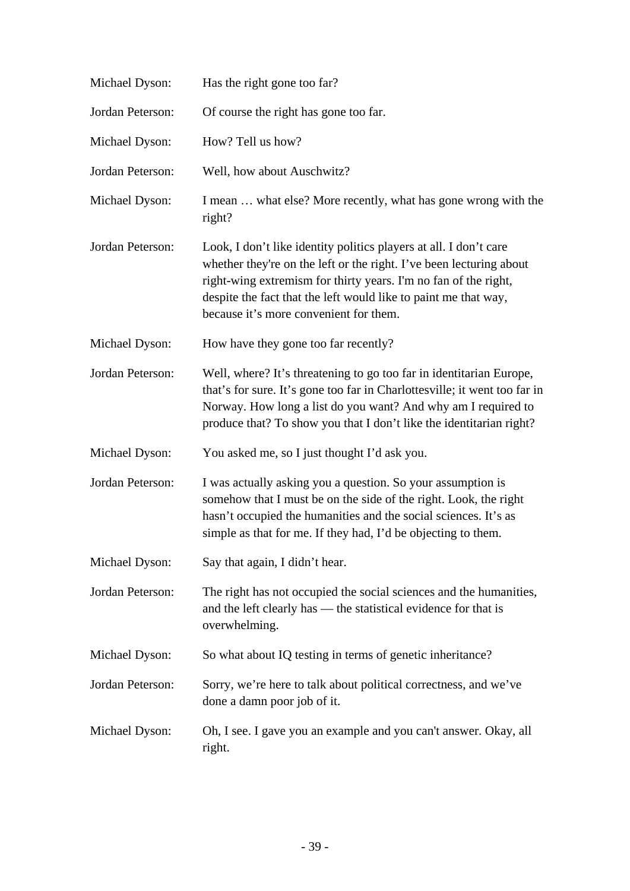| Michael Dyson:   | Has the right gone too far?                                                                                                                                                                                                                                                                                              |
|------------------|--------------------------------------------------------------------------------------------------------------------------------------------------------------------------------------------------------------------------------------------------------------------------------------------------------------------------|
| Jordan Peterson: | Of course the right has gone too far.                                                                                                                                                                                                                                                                                    |
| Michael Dyson:   | How? Tell us how?                                                                                                                                                                                                                                                                                                        |
| Jordan Peterson: | Well, how about Auschwitz?                                                                                                                                                                                                                                                                                               |
| Michael Dyson:   | I mean  what else? More recently, what has gone wrong with the<br>right?                                                                                                                                                                                                                                                 |
| Jordan Peterson: | Look, I don't like identity politics players at all. I don't care<br>whether they're on the left or the right. I've been lecturing about<br>right-wing extremism for thirty years. I'm no fan of the right,<br>despite the fact that the left would like to paint me that way,<br>because it's more convenient for them. |
| Michael Dyson:   | How have they gone too far recently?                                                                                                                                                                                                                                                                                     |
| Jordan Peterson: | Well, where? It's threatening to go too far in identitarian Europe,<br>that's for sure. It's gone too far in Charlottesville; it went too far in<br>Norway. How long a list do you want? And why am I required to<br>produce that? To show you that I don't like the identitarian right?                                 |
| Michael Dyson:   | You asked me, so I just thought I'd ask you.                                                                                                                                                                                                                                                                             |
| Jordan Peterson: | I was actually asking you a question. So your assumption is<br>somehow that I must be on the side of the right. Look, the right<br>hasn't occupied the humanities and the social sciences. It's as<br>simple as that for me. If they had, I'd be objecting to them.                                                      |
| Michael Dyson:   | Say that again, I didn't hear.                                                                                                                                                                                                                                                                                           |
| Jordan Peterson: | The right has not occupied the social sciences and the humanities,<br>and the left clearly has — the statistical evidence for that is<br>overwhelming.                                                                                                                                                                   |
| Michael Dyson:   | So what about IQ testing in terms of genetic inheritance?                                                                                                                                                                                                                                                                |
| Jordan Peterson: | Sorry, we're here to talk about political correctness, and we've<br>done a damn poor job of it.                                                                                                                                                                                                                          |
| Michael Dyson:   | Oh, I see. I gave you an example and you can't answer. Okay, all<br>right.                                                                                                                                                                                                                                               |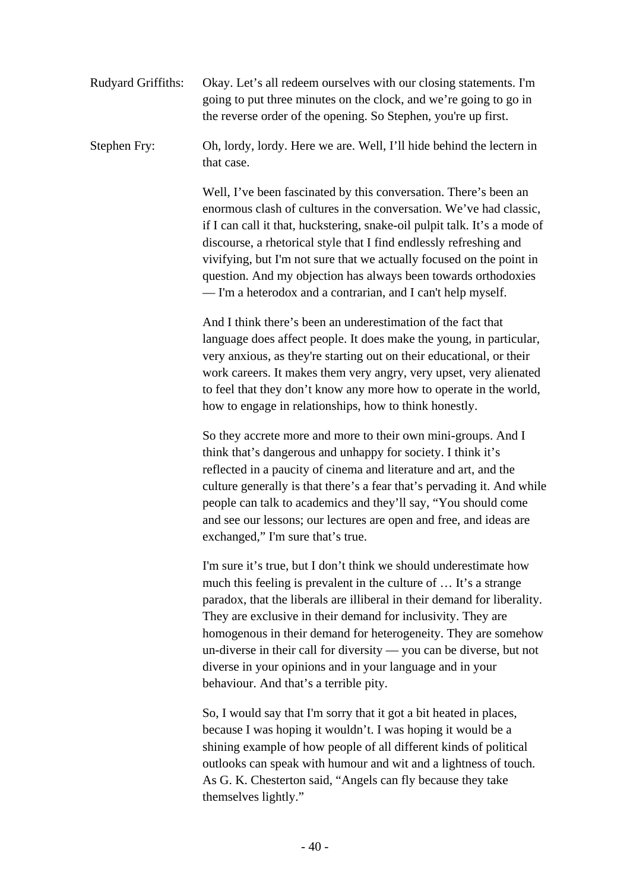- Rudyard Griffiths: Okay. Let's all redeem ourselves with our closing statements. I'm going to put three minutes on the clock, and we're going to go in the reverse order of the opening. So Stephen, you're up first.
- Stephen Fry: Oh, lordy, lordy. Here we are. Well, I'll hide behind the lectern in that case.

Well, I've been fascinated by this conversation. There's been an enormous clash of cultures in the conversation. We've had classic, if I can call it that, huckstering, snake-oil pulpit talk. It's a mode of discourse, a rhetorical style that I find endlessly refreshing and vivifying, but I'm not sure that we actually focused on the point in question. And my objection has always been towards orthodoxies — I'm a heterodox and a contrarian, and I can't help myself.

And I think there's been an underestimation of the fact that language does affect people. It does make the young, in particular, very anxious, as they're starting out on their educational, or their work careers. It makes them very angry, very upset, very alienated to feel that they don't know any more how to operate in the world, how to engage in relationships, how to think honestly.

So they accrete more and more to their own mini-groups. And I think that's dangerous and unhappy for society. I think it's reflected in a paucity of cinema and literature and art, and the culture generally is that there's a fear that's pervading it. And while people can talk to academics and they'll say, "You should come and see our lessons; our lectures are open and free, and ideas are exchanged," I'm sure that's true.

I'm sure it's true, but I don't think we should underestimate how much this feeling is prevalent in the culture of … It's a strange paradox, that the liberals are illiberal in their demand for liberality. They are exclusive in their demand for inclusivity. They are homogenous in their demand for heterogeneity. They are somehow un-diverse in their call for diversity — you can be diverse, but not diverse in your opinions and in your language and in your behaviour. And that's a terrible pity.

So, I would say that I'm sorry that it got a bit heated in places, because I was hoping it wouldn't. I was hoping it would be a shining example of how people of all different kinds of political outlooks can speak with humour and wit and a lightness of touch. As G. K. Chesterton said, "Angels can fly because they take themselves lightly."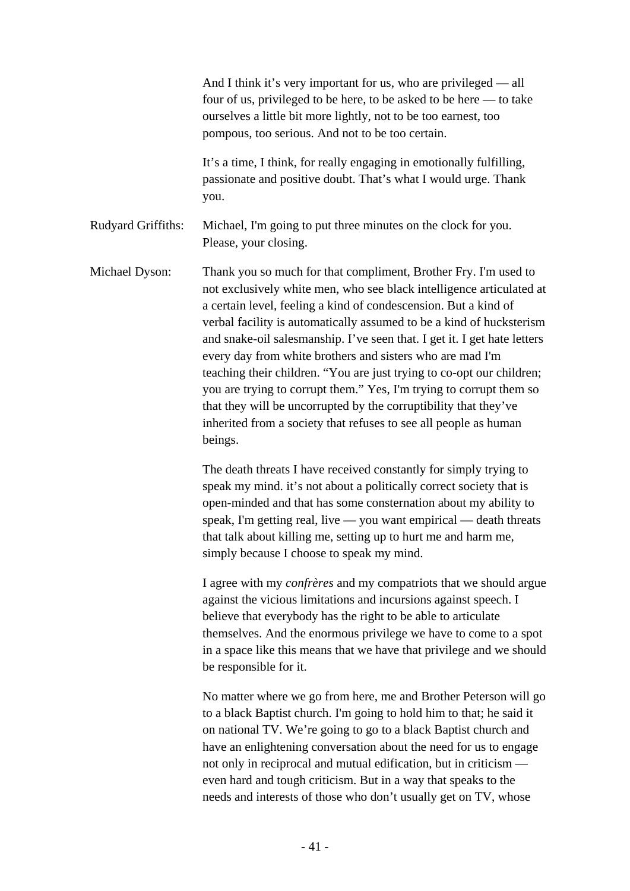|                    | And I think it's very important for us, who are privileged — all<br>four of us, privileged to be here, to be asked to be here - to take<br>ourselves a little bit more lightly, not to be too earnest, too<br>pompous, too serious. And not to be too certain.                                                                                                                                                                                                                                                                                                                                                                                                                                                                 |
|--------------------|--------------------------------------------------------------------------------------------------------------------------------------------------------------------------------------------------------------------------------------------------------------------------------------------------------------------------------------------------------------------------------------------------------------------------------------------------------------------------------------------------------------------------------------------------------------------------------------------------------------------------------------------------------------------------------------------------------------------------------|
|                    | It's a time, I think, for really engaging in emotionally fulfilling,<br>passionate and positive doubt. That's what I would urge. Thank<br>you.                                                                                                                                                                                                                                                                                                                                                                                                                                                                                                                                                                                 |
| Rudyard Griffiths: | Michael, I'm going to put three minutes on the clock for you.<br>Please, your closing.                                                                                                                                                                                                                                                                                                                                                                                                                                                                                                                                                                                                                                         |
| Michael Dyson:     | Thank you so much for that compliment, Brother Fry. I'm used to<br>not exclusively white men, who see black intelligence articulated at<br>a certain level, feeling a kind of condescension. But a kind of<br>verbal facility is automatically assumed to be a kind of hucksterism<br>and snake-oil salesmanship. I've seen that. I get it. I get hate letters<br>every day from white brothers and sisters who are mad I'm<br>teaching their children. "You are just trying to co-opt our children;<br>you are trying to corrupt them." Yes, I'm trying to corrupt them so<br>that they will be uncorrupted by the corruptibility that they've<br>inherited from a society that refuses to see all people as human<br>beings. |
|                    | The death threats I have received constantly for simply trying to<br>speak my mind. it's not about a politically correct society that is<br>open-minded and that has some consternation about my ability to<br>speak, I'm getting real, live — you want empirical — death threats<br>that talk about killing me, setting up to hurt me and harm me,<br>simply because I choose to speak my mind.                                                                                                                                                                                                                                                                                                                               |
|                    | I agree with my <i>confrères</i> and my compatriots that we should argue<br>against the vicious limitations and incursions against speech. I<br>believe that everybody has the right to be able to articulate<br>themselves. And the enormous privilege we have to come to a spot<br>in a space like this means that we have that privilege and we should<br>be responsible for it.                                                                                                                                                                                                                                                                                                                                            |
|                    | No matter where we go from here, me and Brother Peterson will go<br>to a black Baptist church. I'm going to hold him to that; he said it<br>on national TV. We're going to go to a black Baptist church and<br>have an enlightening conversation about the need for us to engage<br>not only in reciprocal and mutual edification, but in criticism —<br>even hard and tough criticism. But in a way that speaks to the<br>needs and interests of those who don't usually get on TV, whose                                                                                                                                                                                                                                     |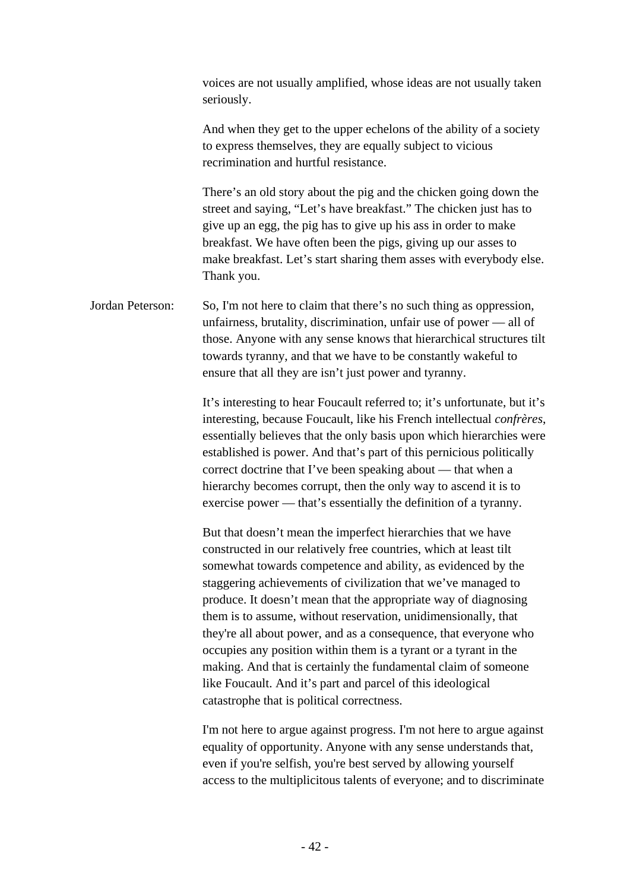voices are not usually amplified, whose ideas are not usually taken seriously. And when they get to the upper echelons of the ability of a society to express themselves, they are equally subject to vicious recrimination and hurtful resistance. There's an old story about the pig and the chicken going down the street and saying, "Let's have breakfast." The chicken just has to give up an egg, the pig has to give up his ass in order to make breakfast. We have often been the pigs, giving up our asses to make breakfast. Let's start sharing them asses with everybody else. Thank you. Jordan Peterson: So, I'm not here to claim that there's no such thing as oppression, unfairness, brutality, discrimination, unfair use of power — all of those. Anyone with any sense knows that hierarchical structures tilt towards tyranny, and that we have to be constantly wakeful to ensure that all they are isn't just power and tyranny. It's interesting to hear Foucault referred to; it's unfortunate, but it's interesting, because Foucault, like his French intellectual *confrères*, essentially believes that the only basis upon which hierarchies were established is power. And that's part of this pernicious politically correct doctrine that I've been speaking about — that when a hierarchy becomes corrupt, then the only way to ascend it is to exercise power — that's essentially the definition of a tyranny. But that doesn't mean the imperfect hierarchies that we have constructed in our relatively free countries, which at least tilt somewhat towards competence and ability, as evidenced by the staggering achievements of civilization that we've managed to produce. It doesn't mean that the appropriate way of diagnosing them is to assume, without reservation, unidimensionally, that they're all about power, and as a consequence, that everyone who occupies any position within them is a tyrant or a tyrant in the making. And that is certainly the fundamental claim of someone like Foucault. And it's part and parcel of this ideological catastrophe that is political correctness. I'm not here to argue against progress. I'm not here to argue against equality of opportunity. Anyone with any sense understands that, even if you're selfish, you're best served by allowing yourself access to the multiplicitous talents of everyone; and to discriminate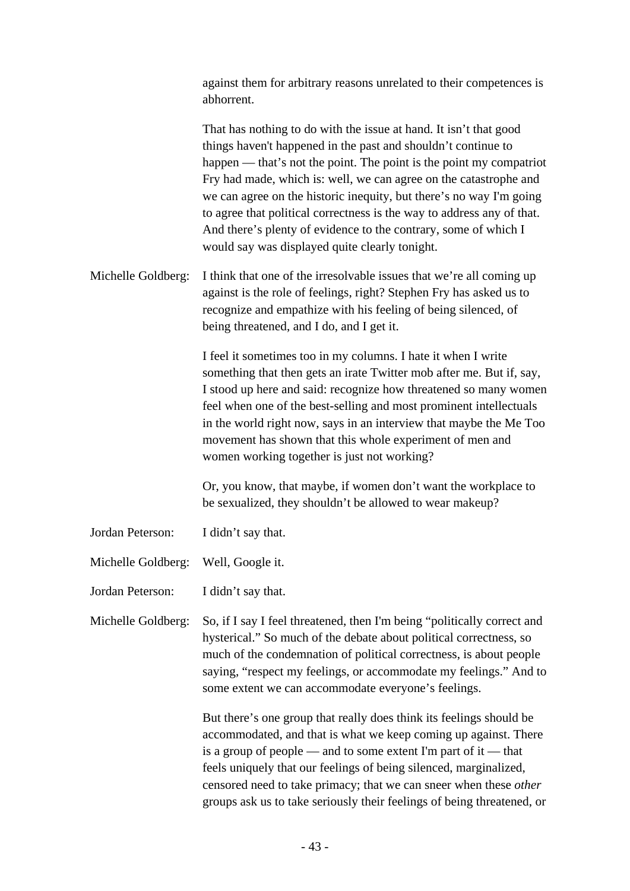against them for arbitrary reasons unrelated to their competences is abhorrent.

That has nothing to do with the issue at hand. It isn't that good things haven't happened in the past and shouldn't continue to happen — that's not the point. The point is the point my compatriot Fry had made, which is: well, we can agree on the catastrophe and we can agree on the historic inequity, but there's no way I'm going to agree that political correctness is the way to address any of that. And there's plenty of evidence to the contrary, some of which I would say was displayed quite clearly tonight.

Michelle Goldberg: I think that one of the irresolvable issues that we're all coming up against is the role of feelings, right? Stephen Fry has asked us to recognize and empathize with his feeling of being silenced, of being threatened, and I do, and I get it.

> I feel it sometimes too in my columns. I hate it when I write something that then gets an irate Twitter mob after me. But if, say, I stood up here and said: recognize how threatened so many women feel when one of the best-selling and most prominent intellectuals in the world right now, says in an interview that maybe the Me Too movement has shown that this whole experiment of men and women working together is just not working?

Or, you know, that maybe, if women don't want the workplace to be sexualized, they shouldn't be allowed to wear makeup?

- Jordan Peterson: I didn't say that.
- Michelle Goldberg: Well, Google it.

Jordan Peterson: I didn't say that.

Michelle Goldberg: So, if I say I feel threatened, then I'm being "politically correct and hysterical." So much of the debate about political correctness, so much of the condemnation of political correctness, is about people saying, "respect my feelings, or accommodate my feelings." And to some extent we can accommodate everyone's feelings.

> But there's one group that really does think its feelings should be accommodated, and that is what we keep coming up against. There is a group of people — and to some extent I'm part of it — that feels uniquely that our feelings of being silenced, marginalized, censored need to take primacy; that we can sneer when these *other* groups ask us to take seriously their feelings of being threatened, or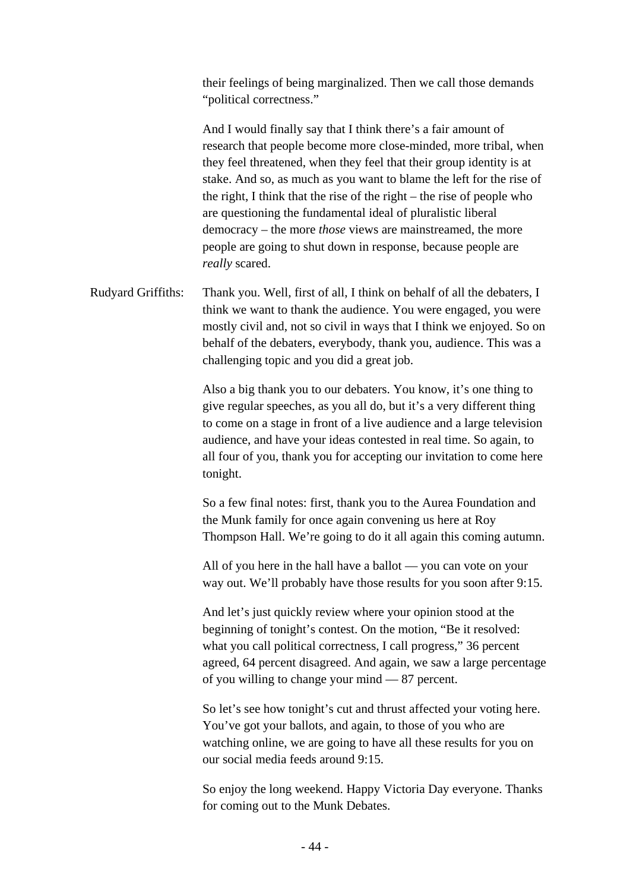their feelings of being marginalized. Then we call those demands "political correctness."

And I would finally say that I think there's a fair amount of research that people become more close-minded, more tribal, when they feel threatened, when they feel that their group identity is at stake. And so, as much as you want to blame the left for the rise of the right, I think that the rise of the right – the rise of people who are questioning the fundamental ideal of pluralistic liberal democracy – the more *those* views are mainstreamed, the more people are going to shut down in response, because people are *really* scared.

Rudyard Griffiths: Thank you. Well, first of all, I think on behalf of all the debaters, I think we want to thank the audience. You were engaged, you were mostly civil and, not so civil in ways that I think we enjoyed. So on behalf of the debaters, everybody, thank you, audience. This was a challenging topic and you did a great job.

> Also a big thank you to our debaters. You know, it's one thing to give regular speeches, as you all do, but it's a very different thing to come on a stage in front of a live audience and a large television audience, and have your ideas contested in real time. So again, to all four of you, thank you for accepting our invitation to come here tonight.

> So a few final notes: first, thank you to the Aurea Foundation and the Munk family for once again convening us here at Roy Thompson Hall. We're going to do it all again this coming autumn.

> All of you here in the hall have a ballot — you can vote on your way out. We'll probably have those results for you soon after 9:15.

> And let's just quickly review where your opinion stood at the beginning of tonight's contest. On the motion, "Be it resolved: what you call political correctness, I call progress," 36 percent agreed, 64 percent disagreed. And again, we saw a large percentage of you willing to change your mind — 87 percent.

So let's see how tonight's cut and thrust affected your voting here. You've got your ballots, and again, to those of you who are watching online, we are going to have all these results for you on our social media feeds around 9:15.

So enjoy the long weekend. Happy Victoria Day everyone. Thanks for coming out to the Munk Debates.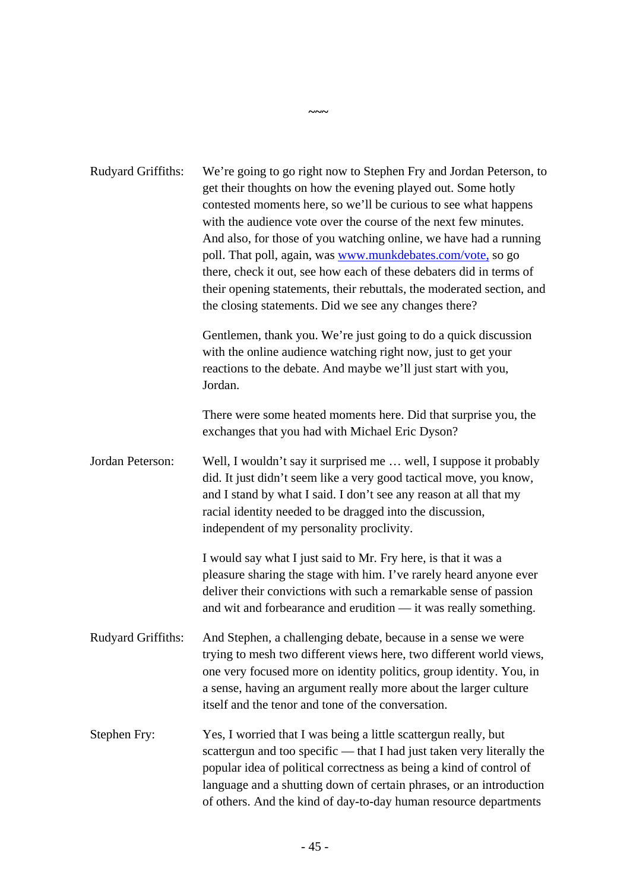| Rudyard Griffiths: | We're going to go right now to Stephen Fry and Jordan Peterson, to<br>get their thoughts on how the evening played out. Some hotly<br>contested moments here, so we'll be curious to see what happens<br>with the audience vote over the course of the next few minutes.<br>And also, for those of you watching online, we have had a running<br>poll. That poll, again, was www.munkdebates.com/vote, so go<br>there, check it out, see how each of these debaters did in terms of<br>their opening statements, their rebuttals, the moderated section, and<br>the closing statements. Did we see any changes there? |
|--------------------|-----------------------------------------------------------------------------------------------------------------------------------------------------------------------------------------------------------------------------------------------------------------------------------------------------------------------------------------------------------------------------------------------------------------------------------------------------------------------------------------------------------------------------------------------------------------------------------------------------------------------|
|                    | Gentlemen, thank you. We're just going to do a quick discussion<br>with the online audience watching right now, just to get your<br>reactions to the debate. And maybe we'll just start with you,<br>Jordan.                                                                                                                                                                                                                                                                                                                                                                                                          |
|                    | There were some heated moments here. Did that surprise you, the<br>exchanges that you had with Michael Eric Dyson?                                                                                                                                                                                                                                                                                                                                                                                                                                                                                                    |
| Jordan Peterson:   | Well, I wouldn't say it surprised me  well, I suppose it probably<br>did. It just didn't seem like a very good tactical move, you know,<br>and I stand by what I said. I don't see any reason at all that my<br>racial identity needed to be dragged into the discussion,<br>independent of my personality proclivity.                                                                                                                                                                                                                                                                                                |
|                    | I would say what I just said to Mr. Fry here, is that it was a<br>pleasure sharing the stage with him. I've rarely heard anyone ever<br>deliver their convictions with such a remarkable sense of passion<br>and wit and forbearance and erudition - it was really something.                                                                                                                                                                                                                                                                                                                                         |
| Rudyard Griffiths: | And Stephen, a challenging debate, because in a sense we were<br>trying to mesh two different views here, two different world views,<br>one very focused more on identity politics, group identity. You, in<br>a sense, having an argument really more about the larger culture<br>itself and the tenor and tone of the conversation.                                                                                                                                                                                                                                                                                 |
| Stephen Fry:       | Yes, I worried that I was being a little scattergun really, but<br>scattergun and too specific — that I had just taken very literally the<br>popular idea of political correctness as being a kind of control of<br>language and a shutting down of certain phrases, or an introduction<br>of others. And the kind of day-to-day human resource departments                                                                                                                                                                                                                                                           |

**~~~**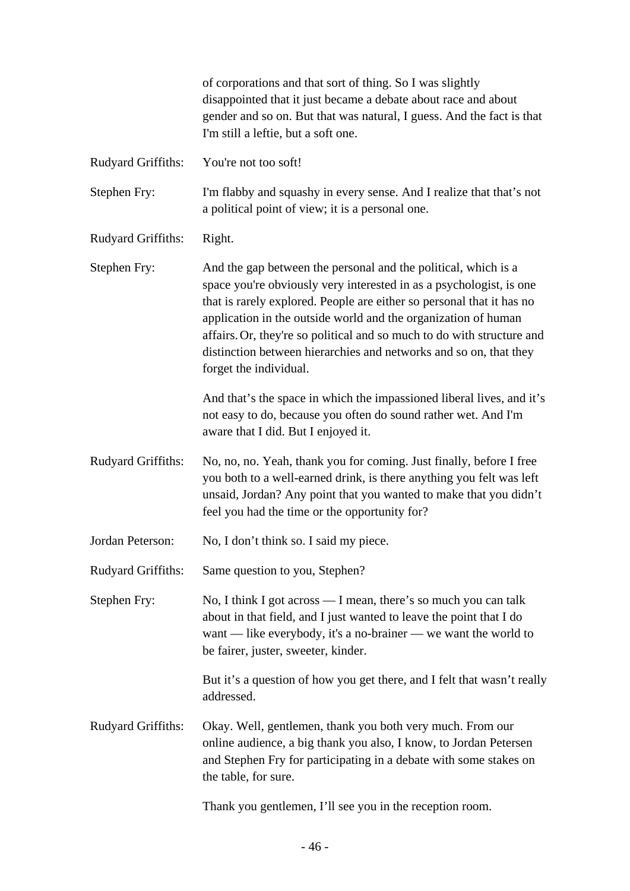|                           | of corporations and that sort of thing. So I was slightly<br>disappointed that it just became a debate about race and about<br>gender and so on. But that was natural, I guess. And the fact is that<br>I'm still a leftie, but a soft one.                                                                                                                                                                                                               |
|---------------------------|-----------------------------------------------------------------------------------------------------------------------------------------------------------------------------------------------------------------------------------------------------------------------------------------------------------------------------------------------------------------------------------------------------------------------------------------------------------|
| <b>Rudyard Griffiths:</b> | You're not too soft!                                                                                                                                                                                                                                                                                                                                                                                                                                      |
| Stephen Fry:              | I'm flabby and squashy in every sense. And I realize that that's not<br>a political point of view; it is a personal one.                                                                                                                                                                                                                                                                                                                                  |
| <b>Rudyard Griffiths:</b> | Right.                                                                                                                                                                                                                                                                                                                                                                                                                                                    |
| Stephen Fry:              | And the gap between the personal and the political, which is a<br>space you're obviously very interested in as a psychologist, is one<br>that is rarely explored. People are either so personal that it has no<br>application in the outside world and the organization of human<br>affairs. Or, they're so political and so much to do with structure and<br>distinction between hierarchies and networks and so on, that they<br>forget the individual. |
|                           | And that's the space in which the impassioned liberal lives, and it's<br>not easy to do, because you often do sound rather wet. And I'm<br>aware that I did. But I enjoyed it.                                                                                                                                                                                                                                                                            |
| Rudyard Griffiths:        | No, no, no. Yeah, thank you for coming. Just finally, before I free<br>you both to a well-earned drink, is there anything you felt was left<br>unsaid, Jordan? Any point that you wanted to make that you didn't<br>feel you had the time or the opportunity for?                                                                                                                                                                                         |
| Jordan Peterson:          | No, I don't think so. I said my piece.                                                                                                                                                                                                                                                                                                                                                                                                                    |
| Rudyard Griffiths:        | Same question to you, Stephen?                                                                                                                                                                                                                                                                                                                                                                                                                            |
| Stephen Fry:              | No, I think I got across — I mean, there's so much you can talk<br>about in that field, and I just wanted to leave the point that I do<br>want — like everybody, it's a no-brainer — we want the world to<br>be fairer, juster, sweeter, kinder.                                                                                                                                                                                                          |
|                           | But it's a question of how you get there, and I felt that wasn't really<br>addressed.                                                                                                                                                                                                                                                                                                                                                                     |
| Rudyard Griffiths:        | Okay. Well, gentlemen, thank you both very much. From our<br>online audience, a big thank you also, I know, to Jordan Petersen<br>and Stephen Fry for participating in a debate with some stakes on<br>the table, for sure.                                                                                                                                                                                                                               |
|                           | Thank you gentlemen, I'll see you in the reception room.                                                                                                                                                                                                                                                                                                                                                                                                  |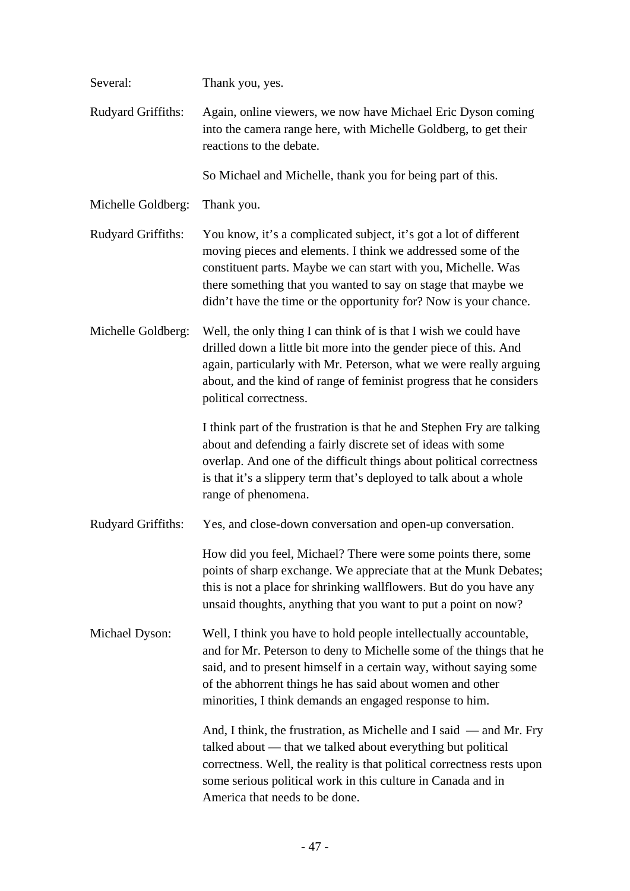| Several:           | Thank you, yes.                                                                                                                                                                                                                                                                                                                         |
|--------------------|-----------------------------------------------------------------------------------------------------------------------------------------------------------------------------------------------------------------------------------------------------------------------------------------------------------------------------------------|
| Rudyard Griffiths: | Again, online viewers, we now have Michael Eric Dyson coming<br>into the camera range here, with Michelle Goldberg, to get their<br>reactions to the debate.                                                                                                                                                                            |
|                    | So Michael and Michelle, thank you for being part of this.                                                                                                                                                                                                                                                                              |
| Michelle Goldberg: | Thank you.                                                                                                                                                                                                                                                                                                                              |
| Rudyard Griffiths: | You know, it's a complicated subject, it's got a lot of different<br>moving pieces and elements. I think we addressed some of the<br>constituent parts. Maybe we can start with you, Michelle. Was<br>there something that you wanted to say on stage that maybe we<br>didn't have the time or the opportunity for? Now is your chance. |
| Michelle Goldberg: | Well, the only thing I can think of is that I wish we could have<br>drilled down a little bit more into the gender piece of this. And<br>again, particularly with Mr. Peterson, what we were really arguing<br>about, and the kind of range of feminist progress that he considers<br>political correctness.                            |
|                    | I think part of the frustration is that he and Stephen Fry are talking<br>about and defending a fairly discrete set of ideas with some<br>overlap. And one of the difficult things about political correctness<br>is that it's a slippery term that's deployed to talk about a whole<br>range of phenomena.                             |
| Rudyard Griffiths: | Yes, and close-down conversation and open-up conversation.                                                                                                                                                                                                                                                                              |
|                    | How did you feel, Michael? There were some points there, some<br>points of sharp exchange. We appreciate that at the Munk Debates;<br>this is not a place for shrinking wallflowers. But do you have any<br>unsaid thoughts, anything that you want to put a point on now?                                                              |
| Michael Dyson:     | Well, I think you have to hold people intellectually accountable,<br>and for Mr. Peterson to deny to Michelle some of the things that he<br>said, and to present himself in a certain way, without saying some<br>of the abhorrent things he has said about women and other<br>minorities, I think demands an engaged response to him.  |
|                    | And, I think, the frustration, as Michelle and I said $-$ and Mr. Fry<br>talked about — that we talked about everything but political<br>correctness. Well, the reality is that political correctness rests upon<br>some serious political work in this culture in Canada and in<br>America that needs to be done.                      |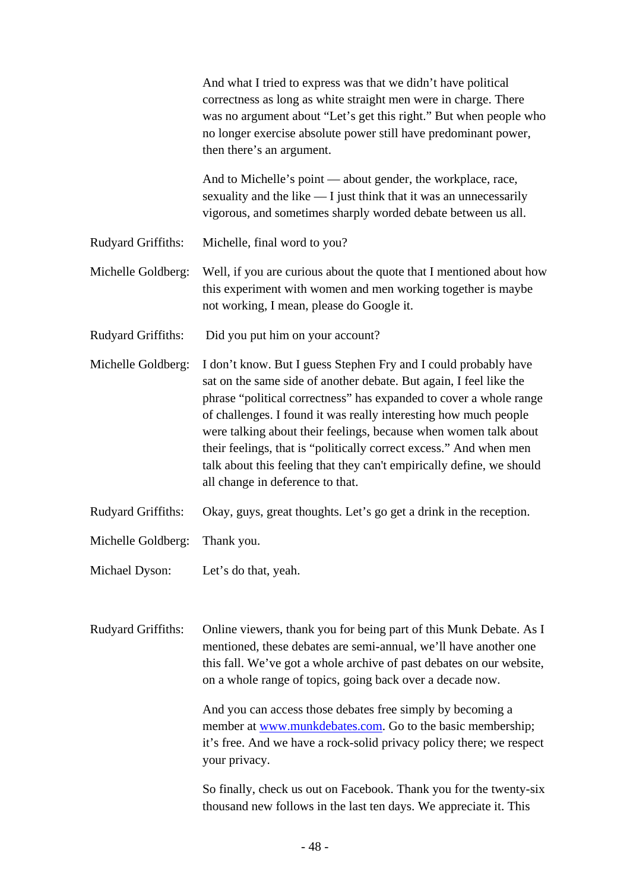|                           | And what I tried to express was that we didn't have political<br>correctness as long as white straight men were in charge. There<br>was no argument about "Let's get this right." But when people who<br>no longer exercise absolute power still have predominant power,<br>then there's an argument.                                                                                                                                                                                                                                  |
|---------------------------|----------------------------------------------------------------------------------------------------------------------------------------------------------------------------------------------------------------------------------------------------------------------------------------------------------------------------------------------------------------------------------------------------------------------------------------------------------------------------------------------------------------------------------------|
|                           | And to Michelle's point — about gender, the workplace, race,<br>sexuality and the like - I just think that it was an unnecessarily<br>vigorous, and sometimes sharply worded debate between us all.                                                                                                                                                                                                                                                                                                                                    |
| <b>Rudyard Griffiths:</b> | Michelle, final word to you?                                                                                                                                                                                                                                                                                                                                                                                                                                                                                                           |
| Michelle Goldberg:        | Well, if you are curious about the quote that I mentioned about how<br>this experiment with women and men working together is maybe<br>not working, I mean, please do Google it.                                                                                                                                                                                                                                                                                                                                                       |
| Rudyard Griffiths:        | Did you put him on your account?                                                                                                                                                                                                                                                                                                                                                                                                                                                                                                       |
| Michelle Goldberg:        | I don't know. But I guess Stephen Fry and I could probably have<br>sat on the same side of another debate. But again, I feel like the<br>phrase "political correctness" has expanded to cover a whole range<br>of challenges. I found it was really interesting how much people<br>were talking about their feelings, because when women talk about<br>their feelings, that is "politically correct excess." And when men<br>talk about this feeling that they can't empirically define, we should<br>all change in deference to that. |
| Rudyard Griffiths:        | Okay, guys, great thoughts. Let's go get a drink in the reception.                                                                                                                                                                                                                                                                                                                                                                                                                                                                     |
| Michelle Goldberg:        | Thank you.                                                                                                                                                                                                                                                                                                                                                                                                                                                                                                                             |
| Michael Dyson:            | Let's do that, yeah.                                                                                                                                                                                                                                                                                                                                                                                                                                                                                                                   |
| Rudyard Griffiths:        | Online viewers, thank you for being part of this Munk Debate. As I<br>mentioned, these debates are semi-annual, we'll have another one<br>this fall. We've got a whole archive of past debates on our website,<br>on a whole range of topics, going back over a decade now.                                                                                                                                                                                                                                                            |

And you can access those debates free simply by becoming a member at [www.munkdebates.com.](http://www.munkdebates.com/) Go to the basic membership; it's free. And we have a rock-solid privacy policy there; we respect your privacy.

So finally, check us out on Facebook. Thank you for the twenty-six thousand new follows in the last ten days. We appreciate it. This